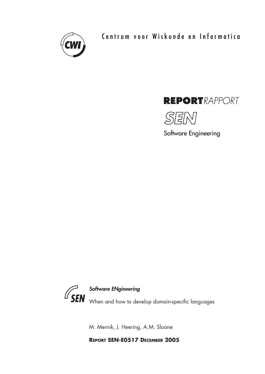

Centrum voor Wiskunde en Informatica





Software Engineering



M. Mernik, J. Heering, A.M. Sloane

**REPORT SEN-E0517 DECEMBER 2005**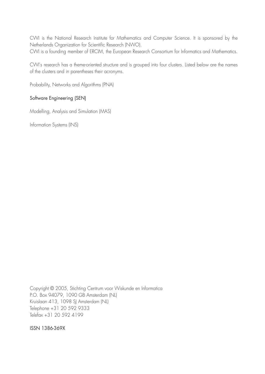CWI is the National Research Institute for Mathematics and Computer Science. It is sponsored by the Netherlands Organization for Scientific Research (NWO). CWI is a founding member of ERCIM, the European Research Consortium for Informatics and Mathematics.

CWI's research has a theme-oriented structure and is grouped into four clusters. Listed below are the names of the clusters and in parentheses their acronyms.

Probability, Networks and Algorithms (PNA)

## Software Engineering (SEN)

Modelling, Analysis and Simulation (MAS)

Information Systems (INS)

Copyright © 2005, Stichting Centrum voor Wiskunde en Informatica P.O. Box 94079, 1090 GB Amsterdam (NL) Kruislaan 413, 1098 SJ Amsterdam (NL) Telephone +31 20 592 9333 Telefax +31 20 592 4199

ISSN 1386-369X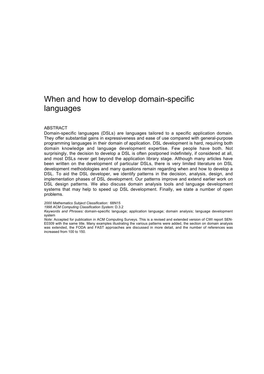# When and how to develop domain-specific languages

### ABSTRACT

Domain-specific languages (DSLs) are languages tailored to a specific application domain. They offer substantial gains in expressiveness and ease of use compared with general-purpose programming languages in their domain of application. DSL development is hard, requiring both domain knowledge and language development expertise. Few people have both. Not surprisingly, the decision to develop a DSL is often postponed indefinitely, if considered at all, and most DSLs never get beyond the application library stage. Although many articles have been written on the development of particular DSLs, there is very limited literature on DSL development methodologies and many questions remain regarding when and how to develop a DSL. To aid the DSL developer, we identify patterns in the decision, analysis, design, and implementation phases of DSL development. Our patterns improve and extend earlier work on DSL design patterns. We also discuss domain analysis tools and language development systems that may help to speed up DSL development. Finally, we state a number of open problems.

*2000 Mathematics Subject Classification:* 68N15

*1998 ACM Computing Classification System:* D.3.2

*Keywords and Phrases:* domain-specific language; application language; domain analysis; language development system

*Note*: Accepted for publication in ACM Computing Surveys. This is a revised and extended version of CWI report SEN-E0309 with the same title. Many examples illustrating the various patterns were added, the section on domain analysis was extended, the FODA and FAST approaches are discussed in more detail, and the number of references was increased from 100 to 150.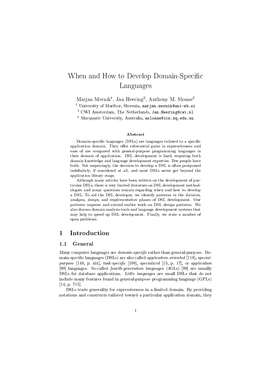# When and How to Develop Domain-Specific Languages

Marjan Mernik<sup>1</sup>, Jan Heering<sup>2</sup>, Anthony M. Sloane<sup>3</sup>

<sup>1</sup> University of Maribor, Slovenia, marjan.mernik@uni-mb.si

<sup>2</sup> CWI Amsterdam, The Netherlands, Jan. Heering@cwi.nl

<sup>3</sup> Macquarie University, Australia, asloane@ics.mq.edu.au

### Abstract

Domain-specific languages (DSLs) are languages tailored to a specific application domain. They offer substantial gains in expressiveness and ease of use compared with general-purpose programming languages in their domain of application. DSL development is hard, requiring both domain knowledge and language development expertise. Few people have both. Not surprisingly, the decision to develop a DSL is often postponed indefinitely, if considered at all, and most DSLs never get beyond the application library stage.

Although many articles have been written on the development of particular DSLs, there is very limited literature on DSL development methodologies and many questions remain regarding when and how to develop a DSL. To aid the DSL developer, we identify patterns in the decision, analysis, design, and implementation phases of DSL development. Our patterns improve and extend earlier work on DSL design patterns. We also discuss domain analysis tools and language development systems that may help to speed up DSL development. Finally, we state a number of open problems.

#### **Introduction**  $\mathbf{1}$

#### $1.1$ General

Many computer languages are *domain-specific* rather than general-purpose. Domain-specific languages (DSLs) are also called *application-oriented* [118], *special*purpose [148, p. xix], task-specific [108], specialized [15, p. 17], or application [99] languages. So-called *fourth-generation languages* (4GLs) [99] are usually DSLs for database applications. Little languages are small DSLs that do not include many features found in general-purpose programming language (GPLs)  $[14, p. 715].$ 

DSLs trade generality for expressiveness in a limited domain. By providing notations and constructs tailored toward a particular application domain, they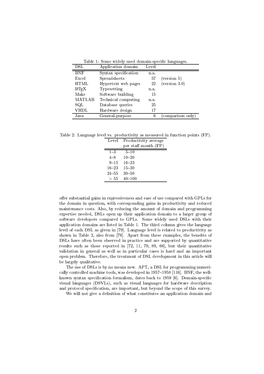Table 1: Some widely used domain-specific languages.

| DSL                     | Application domain   | ${\rm Level}$ |                 |
|-------------------------|----------------------|---------------|-----------------|
| <b>BNF</b>              | Syntax specification | n.a.          |                 |
| Excel                   | Spreadsheets         | 57            | (version 5)     |
| <b>HTML</b>             | Hypertext web pages  | 22            | (version 3.0)   |
| <b>IAT<sub>F</sub>X</b> | Typesetting          | n.a.          |                 |
| Make                    | Software building    | 15            |                 |
| MATLAB                  | Technical computing  | n.a.          |                 |
| SQL                     | Database queries     | 25            |                 |
| VHDL                    | Hardware design      | 17            |                 |
| Java                    | General-purpose      | 6             | comparison only |

Table 2: Language level vs. productivity as measured in function points (FP).

| Level     | Productivity average |
|-----------|----------------------|
|           | per staff month (FP) |
| $1 - 3$   | $5 - 10$             |
| $4 - 8$   | $10 - 20$            |
| $9 - 15$  | $16 - 23$            |
| $16 - 23$ | $15 - 30$            |
| $24 - 55$ | $30 - 50$            |
| >55       | $40 - 100$           |

offer substantial gains in expressiveness and ease of use compared with GPLs for the domain in question, with corresponding gains in productivity and reduced maintenance costs. Also, by reducing the amount of domain and programming expertise needed, DSLs open up their application domain to a larger group of software developers compared to GPLs. Some widely used DSLs with their application domains are listed in Table 1. The third column gives the language level of each DSL as given in [79]. Language level is related to productivity as shown in Table 2, also from [79]. Apart from these examples, the benefits of DSLs have often been observed in practice and are supported by quantitative results such as those reported in [72, 11, 79, 89, 66], but their quantitative validation in general as well as in particular cases is hard and an important open problem. Therefore, the treatment of DSL development in this article will be largely qualitative.

The use of DSLs is by no means new. APT, a DSL for programming numerically controlled machine tools, was developed in 1957-1958 [116]. BNF, the wellknown syntax specification formalism, dates back to 1959 [6]. Domain-specific visual languages (DSVLs), such as visual languages for hardware description and protocol specification, are important, but beyond the scope of this survey.

We will not give a definition of what constitutes an application domain and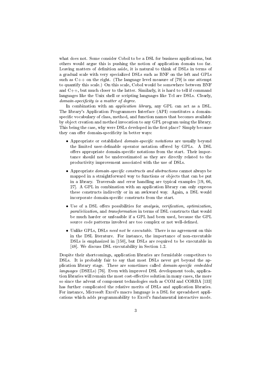what does not. Some consider Cobol to be a DSL for business applications, but others would argue this is pushing the notion of application domain too far. Leaving matters of definition aside, it is natural to think of DSLs in terms of a gradual scale with very specialized DSLs such as BNF on the left and GPLs such as  $C++$  on the right. (The language level measure of [79] is one attempt to quantify this scale.) On this scale, Cobol would be somewhere between BNF and  $C_{++}$ , but much closer to the latter. Similarly, it is hard to tell if command languages like the Unix shell or scripting languages like Tcl are DSLs. Clearly, domain-specificity is a matter of degree.

In combination with an *application library*, any GPL can act as a DSL. The library's Application Programmers Interface (API) constitutes a domainspecific vocabulary of class, method, and function names that becomes available by object creation and method invocation to any GPL program using the library. This being the case, why were DSLs developed in the first place? Simply because they can offer domain-specificity in better ways:

- Appropriate or established *domain-specific notations* are usually beyond the limited user-definable operator notation offered by GPLs. A DSL offers appropriate domain-specific notations from the start. Their importance should not be underestimated as they are directly related to the productivity improvement associated with the use of DSLs.
- Appropriate *domain-specific constructs and abstractions* cannot always be mapped in a straightforward way to functions or objects that can be put in a library. Traversals and error handling are typical examples [19, 66, 27. A GPL in combination with an application library can only express these constructs indirectly or in an awkward way. Again, a DSL would incorporate domain-specific constructs from the start.
- · Use of a DSL offers possibilities for analysis, verification, optimization, parallelization, and transformation in terms of DSL constructs that would be much harder or unfeasible if a GPL had been used, because the GPL source code patterns involved are too complex or not well-defined.
- Unlike GPLs, DSLs need not be executable. There is no agreement on this in the DSL literature. For instance, the importance of non-executable DSLs is emphasized in [150], but DSLs are required to be executable in [48]. We discuss DSL executability in Section 1.2.

Despite their shortcomings, application libraries are formidable competitors to DSLs. It is probably fair to say that most DSLs never get beyond the application library stage. These are sometimes called *domain-specific embedded languages* (DSELs) [76]. Even with improved DSL development tools, application libraries will remain the most cost-effective solution in many cases, the more so since the advent of component technologies such as COM and CORBA [133] has further complicated the relative merits of DSLs and application libraries. For instance, Microsoft Excel's macro language is a DSL for spreadsheet applications which adds programmability to Excel's fundamental interactive mode.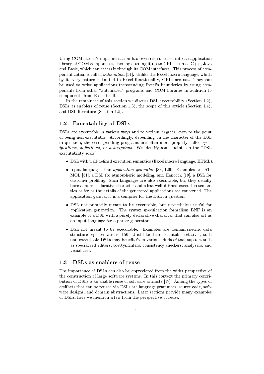Using COM, Excel's implementation has been restructured into an application library of COM components, thereby opening it up to GPLs such as  $C_{++}$ , Java and Basic, which can access it through its COM interfaces. This process of componentization is called *automation* [31]. Unlike the Excel macro language, which by its very nature is limited to Excel functionality, GPLs are not. They can be used to write applications transcending Excel's boundaries by using components from other "automated" programs and COM libraries in addition to components from Excel itself.

In the remainder of this section we discuss DSL executability (Section 1.2). DSLs as enablers of reuse (Section 1.3), the scope of this article (Section 1.4). and DSL literature (Section 1.5).

#### **Executability of DSLs**  $1.2$

DSLs are executable in various ways and to various degrees, even to the point of being non-executable. Accordingly, depending on the character of the DSL in question, the corresponding programs are often more properly called spec*ifications, definitions, or descriptions.* We identify some points on the "DSL executability scale":

- DSL with well-defined execution semantics (Excel macro language, HTML).
- Input language of an *application generator* [33, 129]. Examples are AT-MOL [51], a DSL for atmospheric modeling, and Hancock [19], a DSL for customer profiling. Such languages are also executable, but they usually have a more declarative character and a less well-defined execution semantics as far as the details of the generated applications are concerned. The application generator is a compiler for the DSL in question.
- DSL not primarily meant to be executable, but nevertheless useful for application generation. The syntax specification formalism BNF is an example of a DSL with a purely declarative character that can also act as an input language for a parser generator.
- DSL not meant to be executable. Examples are domain-specific data structure representations [150]. Just like their executable relatives, such non-executable DSLs may benefit from various kinds of tool support such as specialized editors, prettyprinters, consistency checkers, analyzers, and visualizers.

#### DSLs as enablers of reuse 1.3

The importance of DSLs can also be appreciated from the wider perspective of the construction of large software systems. In this context the primary contribution of DSLs is to enable reuse of software artifacts [17]. Among the types of artifacts that can be reused via DSLs are language grammars, source code, software designs, and domain abstractions. Later sections provide many examples of DSLs; here we mention a few from the perspective of reuse.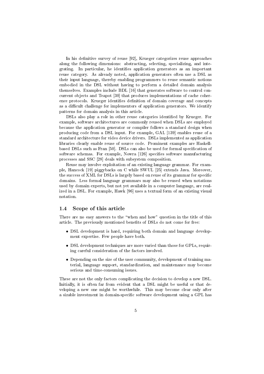In his definitive survey of reuse [92], Krueger categorizes reuse approaches along the following dimensions: abstracting, selecting, specializing, and integrating. In particular, he identifies application generators as an important reuse category. As already noted, application generators often use a DSL as their input language, thereby enabling programmers to reuse semantic notions embodied in the DSL without having to perform a detailed domain analysis themselves. Examples include BDL [16] that generates software to control concurrent objects and Teapot [30] that produces implementations of cache coherence protocols. Krueger identifies definition of domain coverage and concepts as a difficult challenge for implementors of application generators. We identify patterns for domain analysis in this article.

DSLs also play a role in other reuse categories identified by Krueger. For example, software architectures are commonly reused when DSLs are employed because the application generator or compiler follows a standard design when producing code from a DSL input. For example, GAL [139] enables reuse of a standard architecture for video device drivers. DSLs implemented as application libraries clearly enable reuse of source code. Prominent examples are Haskellbased DSLs such as Fran [50]. DSLs can also be used for formal specification of software schemas. For example, Nowra [126] specifies software manufacturing processes and SSC [28] deals with subsystem composition.

Reuse may involve exploitation of an existing language grammar. For example, Hancock [19] piggybacks on C while SWUL [25] extends Java. Moreover, the success of XML for DSLs is largely based on reuse of its grammar for specific domains. Less formal language grammars may also be reused when notations used by domain experts, but not yet available in a computer language, are realized in a DSL. For example, Hawk [96] uses a textual form of an existing visual notation.

#### Scope of this article  $1.4$

There are no easy answers to the "when and how" question in the title of this article. The previously mentioned benefits of DSLs do not come for free:

- DSL development is hard, requiring both domain and language development expertise. Few people have both.
- DSL development techniques are more varied than those for GPLs, requiring careful consideration of the factors involved.
- Depending on the size of the user community, development of training material, language support, standardization, and maintenance may become serious and time-consuming issues.

These are not the only factors complicating the decision to develop a new DSL. Initially, it is often far from evident that a DSL might be useful or that developing a new one might be worthwhile. This may become clear only after a sizable investment in domain-specific software development using a GPL has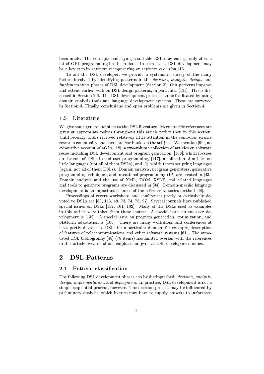been made. The concepts underlying a suitable DSL may emerge only after a lot of GPL programming has been done. In such cases, DSL development may be a key step in *software reengineering* or *software evolution* [13].

To aid the DSL developer, we provide a systematic survey of the many factors involved by identifying patterns in the *decision*, analysis, design, and *implementation* phases of DSL development (Section 2). Our patterns improve and extend earlier work on DSL design patterns, in particular [131]. This is discussed in Section 2.6. The DSL development process can be facilitated by using domain analysis tools and language development systems. These are surveyed in Section 3. Finally, conclusions and open problems are given in Section 4.

#### $1.5$ Literature

We give some general pointers to the DSL literature. More specific references are given at appropriate points throughout this article rather than in this section. Until recently, DSLs received relatively little attention in the computer science research community and there are few books on the subject. We mention [99], an exhaustive account of 4GLs, [18], a two-volume collection of articles on software reuse including DSL development and program generation, [108], which focuses on the role of DSLs in end-user programming, [117], a collection of articles on little languages (not all of them DSLs), and [9], which treats scripting languages (again, not all of them DSLs). Domain analysis, program generators, generative programming techniques, and intentional programming (IP) are treated in [43]. Domain analysis and the use of XML, DOM, XSLT, and related languages and tools to generate programs are discussed in  $[34]$ . Domain-specific language development is an important element of the software factories method [68].

Proceedings of recent workshops and conferences partly or exclusively devoted to DSLs are [83, 113, 49, 73, 74, 75, 97]. Several journals have published special issues on DSLs [152, 101, 102]. Many of the DSLs used as examples in this article were taken from these sources. A special issue on end-user development is [132]. A special issue on program generation, optimization, and platform adaptation is [106]. There are many workshops and conferences at least partly devoted to DSLs for a particular domain, for example, description of features of telecommunications and other software systems [61]. The annotated DSL bibliography [48] (78 items) has limited overlap with the references in this article because of our emphasis on general DSL development issues.

#### $\overline{2}$  $\operatorname{DSL}\, \text{Patterns}$

#### $2.1$ Pattern classification

The following DSL development phases can be distinguished: decision, analysis, *design, implementation, and deployment.* In practice, DSL development is not a simple sequential process, however. The decision process may be influenced by preliminary analysis, which in turn may have to supply answers to unforeseen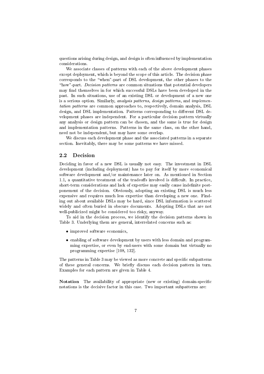questions arising during design, and design is often influenced by implementation considerations.

We associate classes of patterns with each of the above development phases except deployment, which is beyond the scope of this article. The decision phase corresponds to the "when"-part of DSL development, the other phases to the "how"-part. Decision patterns are common situations that potential developers may find themselves in for which successful DSLs have been developed in the past. In such situations, use of an existing DSL or development of a new one is a serious option. Similarly, *analysis patterns*, *design patterns*, and *implementation patterns* are common approaches to, respectively, domain analysis, DSL design, and DSL implementation. Patterns corresponding to different DSL development phases are independent. For a particular decision pattern virtually any analysis or design pattern can be chosen, and the same is true for design and implementation patterns. Patterns in the same class, on the other hand, need not be independent, but may have some overlap.

We discuss each development phase and the associated patterns in a separate section. Inevitably, there may be some patterns we have missed.

#### 2.2 Decision

Deciding in favor of a new DSL is usually not easy. The investment in DSL development (including deployment) has to pay for itself by more economical software development and/or maintenance later on. As mentioned in Section 1.1, a quantitative treatment of the tradeoffs involved is difficult. In practice, short-term considerations and lack of expertise may easily cause indefinite postponement of the decision. Obviously, adopting an existing DSL is much less expensive and requires much less expertise than developing a new one. Finding out about available DSLs may be hard, since DSL information is scattered widely and often buried in obscure documents. Adopting DSLs that are not well-publicized might be considered too risky, anyway.

To aid in the decision process, we identify the decision patterns shown in Table 3. Underlying them are general, interrelated concerns such as:

- improved software economics,
- enabling of software development by users with less domain and programming expertise, or even by end-users with some domain but virtually no programming expertise [108, 132].

The patterns in Table 3 may be viewed as more concrete and specific subpatterns of these general concerns. We briefly discuss each decision pattern in turn. Examples for each pattern are given in Table 4.

**Notation** The availability of appropriate (new or existing) domain-specific notations is the decisive factor in this case. Two important subpatterns are: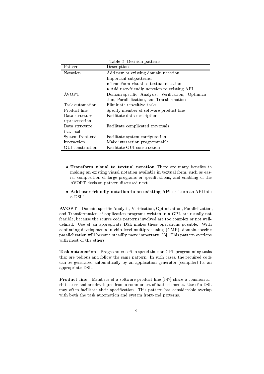|                  | Table 3: Decision patterns.                       |
|------------------|---------------------------------------------------|
| Pattern          | Description                                       |
| Notation         | Add new or existing domain notation               |
|                  | Important subpatterns:                            |
|                  | • Transform visual to textual notation            |
|                  | • Add user-friendly notation to existing API      |
| AVOPT            | Domain-specific Analysis, Verification, Optimiza- |
|                  | tion, Parallelization, and Transformation         |
| Task automation  | Eliminate repetitive tasks                        |
| Product line     | Specify member of software product line           |
| Data structure   | Facilitate data description                       |
| representation   |                                                   |
| Data structure   | Facilitate complicated traversals                 |
| traversal        |                                                   |
| System front-end | Facilitate system configuration                   |
| Interaction      | Make interaction programmable                     |
| GUI construction | Facilitate GUI construction                       |

- . Transform visual to textual notation There are many benefits to making an existing visual notation available in textual form, such as easier composition of large programs or specifications, and enabling of the AVOPT decision pattern discussed next.
- Add user-friendly notation to an existing API or "turn an API into a DSL".

**AVOPT** Domain-specific Analysis, Verification, Optimization, Parallelization, and Transformation of application programs written in a GPL are usually not feasible, because the source code patterns involved are too complex or not welldefined. Use of an appropriate DSL makes these operations possible. With continuing developments in chip-level multiprocessing (CMP), domain-specific parallelization will become steadily more important [93]. This pattern overlaps with most of the others.

Task automation Programmers often spend time on GPL programming tasks that are tedious and follow the same pattern. In such cases, the required code can be generated automatically by an application generator (compiler) for an appropriate DSL.

**Product line** Members of a software product line [147] share a common architecture and are developed from a common set of basic elements. Use of a DSL may often facilitate their specification. This pattern has considerable overlap with both the task automation and system front-end patterns.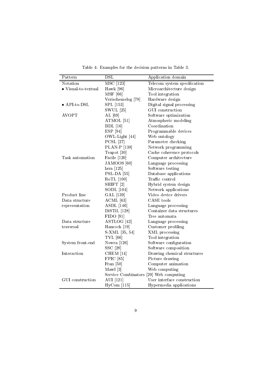| Pattern             | $\overline{\text{DSL}}$ | Application domain           |
|---------------------|-------------------------|------------------------------|
| Notation            | <b>MSC</b> [123]        | Telecom system specification |
| • Visual-to-textual | Hawk $[96]$             | Microarchitecture design     |
|                     | <b>MSF</b> [66]         | Tool integration             |
|                     | Verischemelog [78]      | Hardware design              |
| • API to DSL        | SPL [153]               | Digital signal processing    |
|                     | SWUL $[25]$             | GUI construction             |
| <b>AVOPT</b>        | AL [69]                 | Software optimization        |
|                     | ATMOL [51]              | Atmospheric modeling         |
|                     | <b>BDL</b> [16]         | Coordination                 |
|                     | ESP [94]                | Programmable devices         |
|                     | OWL-Light [44]          | Web ontology                 |
|                     | $PCSL$ [27]             | Parameter checking           |
|                     | <b>PLAN-P</b> [138]     | Network programming          |
|                     | Teapot [30]             | Cache coherence protocols    |
| Task automation     | Facile [120]            | Computer architecture        |
|                     | JAMOOS [60]             | Language processing          |
|                     | lava $[125]$            | Software testing             |
|                     | PSL-DA $[55]$           | Database applications        |
|                     | RoTL [100]              | Traffic control              |
|                     | SHIFT <sup>[2]</sup>    | Hybrid system design         |
|                     | $SODL$ [104]            | Network applications         |
| Product line        | GAL [139]               | Video device drivers         |
| Data structure      | ACML $[63]$             | CASE tools                   |
| representation      | ASDL $[146]$            | Language processing          |
|                     | $DisTiL$ [128]          | Container data structures    |
|                     | FIDO $[91]$             | Tree automata                |
| Data structure      | ASTLOG <sup>[42]</sup>  | Language processing          |
| ${\rm traversal}$   | Hancock [19]            | Customer profiling           |
|                     | S-XML [35, 54]          | XML processing               |
|                     | <b>TVL</b> [66]         | Tool integration             |
| System front-end    | Nowra $[126]$           | Software configuration       |
|                     | SSC [28]                | Software composition         |
| Interaction         | CHEM $[14]$             | Drawing chemical structures  |
|                     | $FPIC$ [85]             | Picture drawing              |
|                     | Fran $[50]$             | Computer animation           |
|                     | Mawl $ 3 $              | Web computing                |
|                     | Service Combinators     | [29] Web computing           |
| GUI construction    | AUI [121]               | User interface construction  |
|                     | $HyCom$ [115]           | Hypermedia applications      |

Table 4: Examples for the decision patterns in Table 3.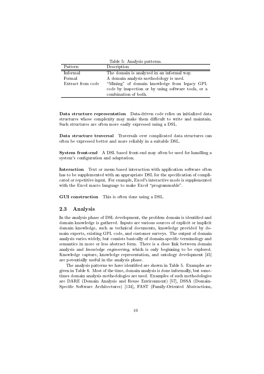|                   | Table 5: Analysis patterns.                         |
|-------------------|-----------------------------------------------------|
| Pattern           | Description                                         |
| Informal          | The domain is analyzed in an informal way.          |
| Formal            | A domain analysis methodology is used.              |
| Extract from code | "Mining" of domain knowledge from legacy GPL        |
|                   | code by inspection or by using software tools, or a |
|                   | combination of both.                                |

Data structure representation Data-driven code relies on initialized data structures whose complexity may make them difficult to write and maintain. Such structures are often more easily expressed using a DSL.

Data structure traversal Traversals over complicated data structures can often be expressed better and more reliably in a suitable DSL.

System front-end A DSL based front-end may often be used for handling a system's configuration and adaptation.

**Interaction** Text or menu based interaction with application software often has to be supplemented with an appropriate DSL for the specification of complicated or repetitive input. For example, Excel's interactive mode is supplemented with the Excel macro language to make Excel "programmable".

GUI construction This is often done using a DSL.

#### 2.3 Analysis

In the analysis phase of DSL development, the problem domain is identified and domain knowledge is gathered. Inputs are various sources of explicit or implicit domain knowledge, such as technical documents, knowledge provided by domain experts, existing GPL code, and customer surveys. The output of domain analysis varies widely, but consists basically of domain-specific terminology and semantics in more or less abstract form. There is a close link between domain analysis and knowledge engineering, which is only beginning to be explored. Knowledge capture, knowledge representation, and ontology development [45] are potentially useful in the analysis phase.

The analysis patterns we have identified are shown in Table 5. Examples are given in Table 6. Most of the time, domain analysis is done informally, but sometimes domain analysis methodologies are used. Examples of such methodologies are DARE (Domain Analysis and Reuse Environment) [57], DSSA (Domain-Specific Software Architectures) [134], FAST (Family-Oriented Abstractions,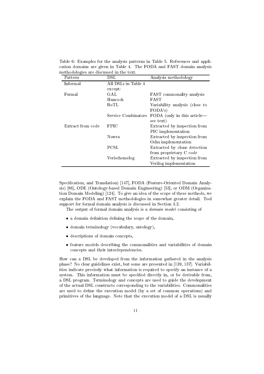Table 6: Examples for the analysis patterns in Table 5. References and application domains are given in Table 4. The FODA and FAST domain analysis methodologies are discussed in the text.

| ${\rm Pattern}$   | $\overline{\text{DSL}}$ | Analysis methodology           |
|-------------------|-------------------------|--------------------------------|
| Informal          | All DSLs in Table 4     |                                |
|                   | except:                 |                                |
| Formal            | G A L                   | FAST commonality analysis      |
|                   | Hancock                 | <b>FAST</b>                    |
|                   | RoTL                    | Variability analysis (close to |
|                   |                         | FODA's)                        |
|                   | Service Combinators     | FODA (only in this article—    |
|                   |                         | see text)                      |
| Extract from code | <b>FPIC</b>             | Extracted by inspection from   |
|                   |                         | PIC implementation             |
|                   | Nowra                   | Extracted by inspection from   |
|                   |                         | Odin implementation            |
|                   | <b>PCSL</b>             | Extracted by clone detection   |
|                   |                         | from proprietary C code        |
|                   | Verischemelog           | Extracted by inspection from   |
|                   |                         | Verilog implementation         |

Specification, and Translation) [147], FODA (Feature-Oriented Domain Analysis) [86], ODE (Ontology-based Domain Engineering) [53], or ODM (Organization Domain Modeling) [124]. To give an idea of the scope of these methods, we explain the FODA and FAST methodologies in somewhat greater detail. Tool support for formal domain analysis is discussed in Section 3.2.

The output of formal domain analysis is a *domain model* consisting of

- a domain definition defining the scope of the domain,
- domain terminology (vocabulary, ontology),
- descriptions of domain concepts,
- feature models describing the commonalities and variabilities of domain concepts and their interdependencies.

How can a DSL be developed from the information gathered in the analysis phase? No clear guidelines exist, but some are presented in [139, 137]. Variabilities indicate precisely what information is required to specify an instance of a system. This information must be specified directly in, or be derivable from, a DSL program. Terminology and concepts are used to guide the development of the actual DSL constructs corresponding to the variabilities. Commonalities are used to define the execution model (by a set of common operations) and primitives of the language. Note that the execution model of a DSL is usually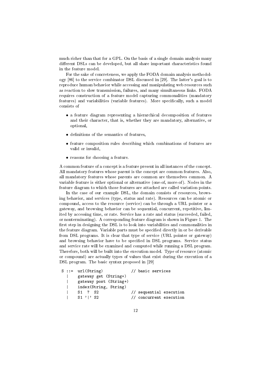much richer than that for a GPL. On the basis of a single domain analysis many different DSLs can be developed, but all share important characteristics found in the feature model.

For the sake of concreteness, we apply the FODA domain analysis methodology [86] to the service combinator DSL discussed in [29]. The latter's goal is to reproduce human behavior while accessing and manipulating web resources such as reaction to slow transmission, failures, and many simultaneous links. FODA requires construction of a feature model capturing commonalities (mandatory features) and variabilities (variable features). More specifically, such a model consists of

- a feature diagram representing a hierarchical decomposition of features and their character, that is, whether they are mandatory, alternative, or optional.
- definitions of the semantics of features.
- feature composition rules describing which combinations of features are valid or invalid,
- reasons for choosing a feature.

A common feature of a concept is a feature present in all instances of the concept. All mandatory features whose parent is the concept are common features. Also, all mandatory features whose parents are common are themselves common. A variable feature is either optional or alternative (one-of, more-of). Nodes in the feature diagram to which those features are attached are called variation points.

In the case of our example DSL, the domain consists of resources, browsing behavior, and services (type, status and rate). Resources can be atomic or compound, access to the resource (service) can be through a URL pointer or a gateway, and browsing behavior can be sequential, concurrent, repetitive, limited by accessing time, or rate. Service has a rate and status (succeeded, failed, or nonterminating). A corresponding feature diagram is shown in Figure 1. The first step in designing the DSL is to look into variabilities and commonalities in the feature diagram. Variable parts must be specified directly in or be derivable from DSL programs. It is clear that type of service (URL pointer or gateway) and browsing behavior have to be specified in DSL programs. Service status and service rate will be examined and computed while running a DSL program. Therefore, both will be built into the execution model. Type of resource (atomic or compound) are actually types of values that exist during the execution of a DSL program. The basic syntax proposed in [29]

```
S ::= \text{url}(String)// basic services
gateway get (String+)
gateway post (String+)
index(String, String)
S1 ? S2
                        // sequential execution
S1 '|' S2// concurrent execution
```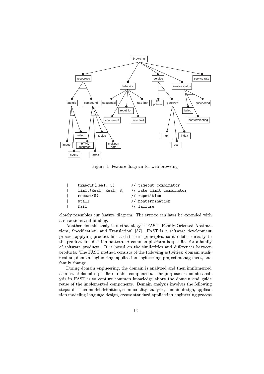

Figure 1: Feature diagram for web browsing.

| timeout(Real, S)     | // timeout combinator    |
|----------------------|--------------------------|
| limit(Real, Real, S) | // rate limit combinator |
| repeat(S)            | $//$ repetition          |
| stall                | // nontermination        |
| fail                 | // failure               |

closely resembles our feature diagram. The syntax can later be extended with abstractions and binding.

Another domain analysis methodology is FAST (Family-Oriented Abstractions, Specification, and Translation) [37]. FAST is a software development process applying product line architecture principles, so it relates directly to the product line decision pattern. A common platform is specified for a family of software products. It is based on the similarities and differences between products. The FAST method consists of the following activities: domain qualification, domain engineering, application engineering, project management, and family change.

During domain engineering, the domain is analyzed and then implemented as a set of domain-specific reusable components. The purpose of domain analysis in FAST is to capture common knowledge about the domain and guide reuse of the implemented components. Domain analysis involves the following steps: decision model definition, commonality analysis, domain design, application modeling language design, create standard application engineering process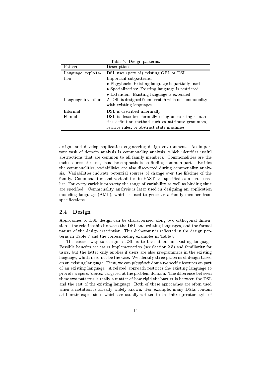|                    | Table 7: Design patterns.                          |
|--------------------|----------------------------------------------------|
| Pattern            | Description                                        |
| Language exploita- | DSL uses (part of) existing GPL or DSL             |
| tion               | Important subpatterns:                             |
|                    | • Piggyback: Existing language is partially used   |
|                    | • Specialization: Existing language is restricted  |
|                    | • Extension: Existing language is extended         |
| Language invention | A DSL is designed from scratch with no commonality |
|                    | with existing languages                            |
| <b>Informal</b>    | DSL is described informally                        |
| Formal             | DSL is described formally using an existing seman- |
|                    | tics definition method such as attribute grammars, |
|                    | rewrite rules, or abstract state machines          |

design, and develop application engineering design environment. An important task of domain analysis is commonality analysis, which identifies useful abstractions that are common to all family members. Commonalities are the main source of reuse, thus the emphasis is on finding common parts. Besides the commonalities, variabilities are also discovered during commonality analysis. Variabilities indicate potential sources of change over the lifetime of the family. Commonalities and variabilities in FAST are specified as a structured list. For every variable property the range of variability as well as binding time are specified. Commonality analysis is later used in designing an application modeling language (AML), which is used to generate a family member from specifications.

#### $2.4$ Design

Approaches to DSL design can be characterized along two orthogonal dimensions: the relationship between the DSL and existing languages, and the formal nature of the design description. This dichotomy is reflected in the design patterns in Table 7 and the corresponding examples in Table 8.

The easiest way to design a DSL is to base it on an existing language. Possible benefits are easier implementation (see Section 2.5) and familiarity for users, but the latter only applies if users are also programmers in the existing language, which need not be the case. We identify three patterns of design based on an existing language. First, we can *piqqyback* domain-specific features on part of an existing language. A related approach restricts the existing language to provide a specialization targeted at the problem domain. The difference between these two patterns is really a matter of how rigid the barrier is between the DSL and the rest of the existing language. Both of these approaches are often used when a notation is already widely known. For example, many DSLs contain arithmetic expressions which are usually written in the infix-operator style of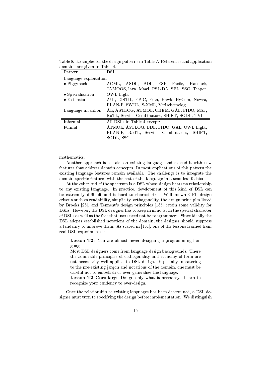Table 8: Examples for the design patterns in Table 7. References and application domains are given in Table 4.

| Pattern               | DSL                                          |
|-----------------------|----------------------------------------------|
| Language exploitation |                                              |
| $\bullet$ Piggyback   | ACML, ASDL, BDL, ESP, Facile, Hancock,       |
|                       | JAMOOS, lava, Mawl, PSL-DA, SPL, SSC, Teapot |
| • Specialization      | OWL-Light                                    |
| $\bullet$ Extension   | AUI, DiSTiL, FPIC, Fran, Hawk, HyCom, Nowra, |
|                       | PLAN-P, SWUL, S-XML, Verischemelog           |
| Language invention    | AL, ASTLOG, ATMOL, CHEM, GAL, FIDO, MSF,     |
|                       | RoTL, Service Combinators, SHIFT, SODL, TVL  |
| Informal              | All DSLs in Table 4 except:                  |
| Formal                | ATMOL, ASTLOG, BDL, FIDO, GAL, OWL-Light,    |
|                       | PLAN-P, RoTL, Service Combinators, SHIFT,    |
|                       | SODL, SSC                                    |

mathematics.

Another approach is to take an existing language and extend it with new features that address domain concepts. In most applications of this pattern the existing language features remain available. The challenge is to integrate the domain-specific features with the rest of the language in a seamless fashion.

At the other end of the spectrum is a DSL whose design bears no relationship to any existing language. In practice, development of this kind of DSL can be extremely difficult and is hard to characterize. Well-known GPL design criteria such as readability, simplicity, orthogonality, the design principles listed by Brooks [26], and Tennent's design principles [135] retain some validity for DSLs. However, the DSL designer has to keep in mind both the special character of DSLs as well as the fact that users need not be programmers. Since ideally the DSL adopts established notations of the domain, the designer should suppress a tendency to improve them. As stated in [151], one of the lessons learned from real DSL experiments is:

Lesson T2: You are almost never designing a programming language.

Most DSL designers come from language design backgrounds. There the admirable principles of orthogonality and economy of form are not necessarily well-applied to DSL design. Especially in catering to the pre-existing jargon and notations of the domain, one must be careful not to embellish or over-generalize the language.

Lesson T2 Corollary: Design only what is necessary. Learn to recognize your tendency to over-design.

Once the relationship to existing languages has been determined, a DSL designer must turn to specifying the design before implementation. We distinguish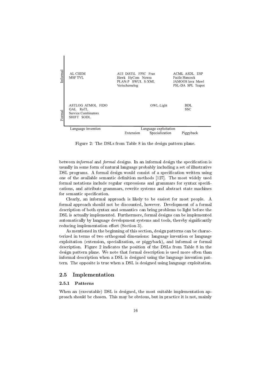| Informal | AL CHEM<br><b>MSF TVL</b>                                                 | AUI DiSTIL FPIC Fran<br>Hawk HyCom Nowra<br>PLAN-P SWUL S-XML<br>Verischemelog |                       | <b>ACML ASDL ESP</b><br>Facile Hancock<br>JAMOOS lava Mawl<br>PSL-DA SPL Teapot |
|----------|---------------------------------------------------------------------------|--------------------------------------------------------------------------------|-----------------------|---------------------------------------------------------------------------------|
| Formal   | <b>ASTLOG ATMOL FIDO</b><br>GAL RoTL<br>Service Combinators<br>SHIFT SODL |                                                                                | OWL-Light             | BDL<br><b>SSC</b>                                                               |
|          | Language invention                                                        |                                                                                | Language exploitation |                                                                                 |
|          |                                                                           | Extension                                                                      | Specialization        | Piggyback                                                                       |

Figure 2: The DSLs from Table 8 in the design pattern plane.

between *informal* and *formal* designs. In an informal design the specification is usually in some form of natural language probably including a set of illustrative DSL programs. A formal design would consist of a specification written using one of the available semantic definition methods [127]. The most widely used formal notations include regular expressions and grammars for syntax specifications, and attribute grammars, rewrite systems and abstract state machines for semantic specification.

Clearly, an informal approach is likely to be easiest for most people. A formal approach should not be discounted, however. Development of a formal description of both syntax and semantics can bring problems to light before the DSL is actually implemented. Furthermore, formal designs can be implemented automatically by language development systems and tools, thereby significantly reducing implementation effort (Section 3).

As mentioned in the beginning of this section, design patterns can be characterized in terms of two orthogonal dimensions: language invention or language exploitation (extension, specialization, or piggyback), and informal or formal description. Figure 2 indicates the position of the DSLs from Table 8 in the design pattern plane. We note that formal description is used more often than informal description when a DSL is designed using the language invention pattern. The opposite is true when a DSL is designed using language exploitation.

#### 2.5 Implementation

#### $2.5.1$ Patterns

Ï

When an (executable) DSL is designed, the most suitable implementation approach should be chosen. This may be obvious, but in practice it is not, mainly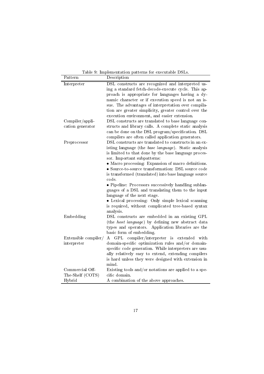Table 9: Implementation patterns for executable DSLs.  $\,$ 

| ${\rm Pattern}$      | Description                                                                      |
|----------------------|----------------------------------------------------------------------------------|
| Interpreter          | DSL constructs are recognized and interpreted us-                                |
|                      | ing a standard fetch-decode-execute cycle. This ap-                              |
|                      | proach is appropriate for languages having a dy-                                 |
|                      | namic character or if execution speed is not an is-                              |
|                      | sue. The advantages of interpretation over compila-                              |
|                      | tion are greater simplicity, greater control over the                            |
|                      | execution environment, and easier extension.                                     |
| $Complier/appli-$    | DSL constructs are translated to base language con-                              |
| cation generator     | structs and library calls. A complete static analysis                            |
|                      | can be done on the DSL program/specification. DSL                                |
|                      | compilers are often called application generators.                               |
| Preprocessor         | DSL constructs are translated to constructs in an ex-                            |
|                      | isting language (the base language). Static analysis                             |
|                      | is limited to that done by the base language proces-                             |
|                      | sor. Important subpatterns:                                                      |
|                      | • Macro processing: Expansion of macro definitions.                              |
|                      | • Source-to-source transformation: DSL source code                               |
|                      | is transformed (translated) into base language source                            |
|                      | code.                                                                            |
|                      | • Pipeline: Processors successively handling sublan-                             |
|                      | guages of a DSL and translating them to the input<br>language of the next stage. |
|                      | · Lexical processing: Only simple lexical scanning                               |
|                      | is required, without complicated tree-based syntax                               |
|                      | analysis.                                                                        |
| Embedding            | DSL constructs are embedded in an existing GPL                                   |
|                      | (the host language) by defining new abstract data                                |
|                      | types and operators. Application libraries are the                               |
|                      | basic form of embedding.                                                         |
| Extensible compiler/ | compiler/interpreter is extended<br><b>GPL</b><br>A<br>with                      |
| interpreter          | domain-specific optimization rules and/or domain-                                |
|                      | specific code generation. While interpreters are usu-                            |
|                      | ally relatively easy to extend, extending compilers                              |
|                      | is hard unless they were designed with extension in                              |
|                      | mind.                                                                            |
| Commercial Off-      | Existing tools and/or notations are applied to a spe-                            |
| The-Shelf (COTS)     | cific domain.                                                                    |
| Hybrid               | A combination of the above approaches.                                           |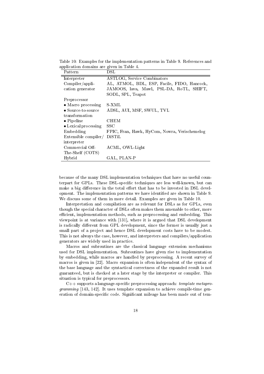Table 10: Examples for the implementation patterns in Table 9. References and application domains are given in Table 4.

| ${\rm Pattern}$              | $_{\rm{DSL}}$                                 |
|------------------------------|-----------------------------------------------|
| Interpreter                  | <b>ASTLOG, Service Combinators</b>            |
| $Complier/appli-$            | AL, ATMOL, BDL, ESP, Facile, FIDO, Hancock,   |
| cation generator             | JAMOOS, lava, Mawl, PSL-DA, RoTL, SHIFT,      |
|                              | SODL, SPL, Teapot                             |
| Preprocessor                 |                                               |
| • Macro processing           | S-XML                                         |
| $\bullet$ Source to-source   | ADSL, AUI, MSF, SWUL, TVL                     |
| transformation               |                                               |
| $\bullet$ Pipeline           | CHEM                                          |
| $\bullet$ Lexical processing | <b>SSC</b>                                    |
| Embedding                    | FPIC, Fran, Hawk, HyCom, Nowra, Verischemelog |
| Extensible compiler/         | DiSTiL                                        |
| interpreter                  |                                               |
| Commercial Off-              | ACML, OWL-Light                               |
| The-Shelf (COTS)             |                                               |
| Hybrid                       | GAL, PLAN-P                                   |

because of the many DSL implementation techniques that have no useful counterpart for GPLs. These DSL-specific techniques are less well-known, but can make a big difference in the total effort that has to be invested in DSL development. The implementation patterns we have identified are shown in Table 9. We discuss some of them in more detail. Examples are given in Table 10.

Interpretation and compilation are as relevant for DSLs as for GPLs, even though the special character of DSLs often makes them amenable to other, more efficient, implementation methods, such as preprocessing and embedding. This viewpoint is at variance with [131], where it is argued that DSL development is radically different from GPL development, since the former is usually just a small part of a project and hence DSL development costs have to be modest. This is not always the case, however, and interpreters and compilers/application generators are widely used in practice.

Macros and subroutines are the classical language extension mechanisms used for DSL implementation. Subroutines have given rise to implementation by embedding, while macros are handled by preprocessing. A recent survey of macros is given in [22]. Macro expansion is often independent of the syntax of the base language and the syntactical correctness of the expanded result is not guaranteed, but is checked at a later stage by the interpreter or compiler. This situation is typical for preprocessors.

 $C++$  supports a language-specific preprocessing approach: *template metapro* $gramming$  [143, 142]. It uses template expansion to achieve compile-time generation of domain-specific code. Significant mileage has been made out of tem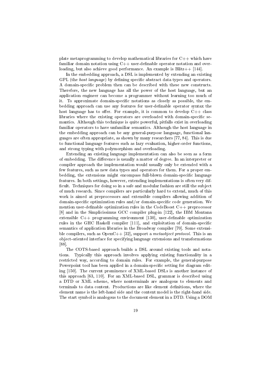plate metaprogramming to develop mathematical libraries for  $C_{++}$  which have familiar domain notation using  $C++$  user-definable operator notation and overloading, but also achieve good performance. An example is Blitz++  $[144]$ .

In the embedding approach, a DSL is implemented by extending an existing GPL (the *host language*) by defining specific abstract data types and operators. A domain-specific problem then can be described with these new constructs. Therefore, the new language has all the power of the host language, but an application engineer can become a programmer without learning too much of it. To approximate domain-specific notations as closely as possible, the embedding approach can use any features for user-definable operator syntax the host language has to offer. For example, it is common to develop  $C++$  class libraries where the existing operators are overloaded with domain-specific semantics. Although this technique is quite powerful, pitfalls exist in overloading familiar operators to have unfamiliar semantics. Although the host language in the embedding approach can be any general-purpose language, functional languages are often appropriate, as shown by many researchers [77, 84]. This is due to functional language features such as lazy evaluation, higher-order functions, and strong typing with polymorphism and overloading.

Extending an existing language implementation can also be seen as a form of embedding. The difference is usually a matter of degree. In an interpreter or compiler approach the implementation would usually only be extended with a few features, such as new data types and operators for them. For a proper embedding, the extensions might encompass full-blown domain-specific language features. In both settings, however, extending implementations is often very difficult. Techniques for doing so in a safe and modular fashion are still the subject of much research. Since compilers are particularly hard to extend, much of this work is aimed at preprocessors and extensible compilers allowing addition of domain-specific optimization rules and/or domain-specific code generation. We mention user-definable optimization rules in the CodeBoost  $C++$  preprocessor [8] and in the Simplicissimus GCC compiler plug-in [122], the IBM Montana extensible  $C++$  programming environment [130], user-definable optimization rules in the GHC Haskell compiler [111], and exploitation of domain-specific semantics of application libraries in the Broadway compiler [70]. Some extensible compilers, such as  $OpenC++ [32]$ , support a *metaobject protocol*. This is an object-oriented interface for specifying language extensions and transformations  $[88]$ 

The COTS-based approach builds a DSL around existing tools and notations. Typically this approach involves applying existing functionality in a restricted way, according to domain rules. For example, the general-purpose Powerpoint tool has been applied in a domain-specific setting for diagram editing [150]. The current prominence of XML-based DSLs is another instance of this approach [63, 110]. For an XML-based DSL, grammar is described using a DTD or XML scheme, where nonterminals are analogous to elements and terminals to data content. Productions are like element definitions, where the element name is the left-hand side and the content model is the right-hand side. The start symbol is analogous to the document element in a DTD. Using a DOM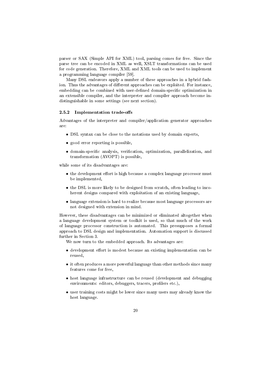parser or SAX (Simple API for XML) tool, parsing comes for free. Since the parse tree can be encoded in XML as well, XSLT transformations can be used for code generation. Therefore, XML and XML tools can be used to implement a programming language compiler [59].

Many DSL endeavors apply a number of these approaches in a hybrid fashion. Thus the advantages of different approaches can be exploited. For instance, embedding can be combined with user-defined domain-specific optimization in an extensible compiler, and the interpreter and compiler approach become indistinguishable in some settings (see next section).

## 2.5.2 Implementation trade-offs

Advantages of the interpreter and compiler/application generator approaches are:

- DSL syntax can be close to the notations used by domain experts.
- good error reporting is possible,
- · domain-specific analysis, verification, optimization, parallelization, and transformation (AVOPT) is possible,

while some of its disadvantages are:

- the development effort is high because a complex language processor must be implemented,
- the DSL is more likely to be designed from scratch, often leading to incoherent designs compared with exploitation of an existing language,
- language extension is hard to realize because most language processors are not designed with extension in mind.

However, these disadvantages can be minimized or eliminated altogether when a language development system or toolkit is used, so that much of the work of language processor construction is automated. This presupposes a formal approach to DSL design and implementation. Automation support is discussed further in Section 3.

We now turn to the embedded approach. Its advantages are:

- development effort is modest because an existing implementation can be reused.
- it often produces a more powerful language than other methods since many features come for free,
- host language infrastructure can be reused (development and debugging environments: editors, debuggers, tracers, profilers etc.),
- user training costs might be lower since many users may already know the host language.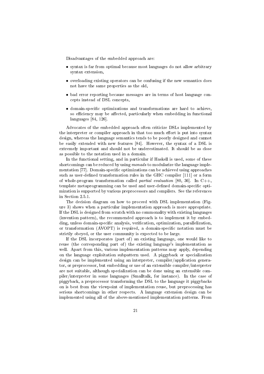Disadvantages of the embedded approach are:

- syntax is far from optimal because most languages do not allow arbitrary syntax extension,
- overloading existing operators can be confusing if the new semantics does not have the same properties as the old,
- bad error reporting because messages are in terms of host language concepts instead of DSL concepts,
- domain-specific optimizations and transformations are hard to achieve, so efficiency may be affected, particularly when embedding in functional languages  $[84, 126]$ .

Advocates of the embedded approach often criticize DSLs implemented by the interpreter or compiler approach in that too much effort is put into syntax design, whereas the language semantics tends to be poorly designed and cannot be easily extended with new features [84]. However, the syntax of a DSL is extremely important and should not be underestimated. It should be as close as possible to the notation used in a domain.

In the functional setting, and in particular if Haskell is used, some of these shortcomings can be reduced by using *monads* to modularize the language implementation [77]. Domain-specific optimizations can be achieved using approaches such as user-defined transformation rules in the GHC compiler [111] or a form of whole-program transformation called *partial evaluation* [80, 36]. In C++, template metaprogramming can be used and user-defined domain-specific optimization is supported by various preprocessors and compilers. See the references in Section 2.5.1.

The decision diagram on how to proceed with DSL implementation (Fig- $\alpha$  ure 3) shows when a particular implementation approach is more appropriate. If the DSL is designed from scratch with no commonality with existing languages (invention pattern), the recommended approach is to implement it by embedding, unless domain-specific analysis, verification, optimization, parallelization, or transformation (AVOPT) is required, a domain-specific notation must be strictly obeyed, or the user community is expected to be large.

If the DSL incorporates (part of) an existing language, one would like to reuse (the corresponding part of) the existing language's implementation as well. Apart from this, various implementation patterns may apply, depending on the language exploitation subpattern used. A piggyback or specialization design can be implemented using an interpreter, compiler/application generator, or preprocessor, but embedding or use of an extensible compiler/interpreter are not suitable, although specialization can be done using an extensible compiler/interpreter in some languages (Smalltalk, for instance). In the case of piggyback, a preprocessor transforming the DSL to the language it piggybacks on is best from the viewpoint of implementation reuse, but preprocessing has serious shortcomings in other respects. A language extension design can be implemented using all of the above-mentioned implementation patterns. From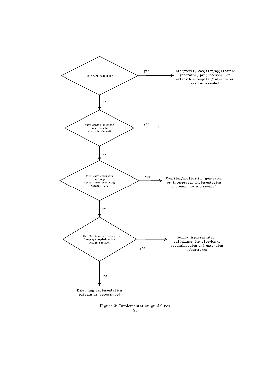

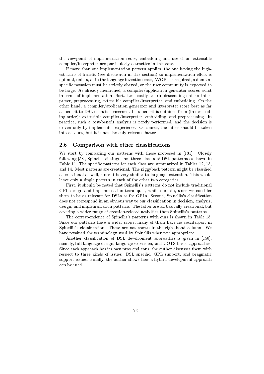the viewpoint of implementation reuse, embedding and use of an extensible compiler/interpreter are particularly attractive in this case.

If more than one implementation pattern applies, the one having the highest ratio of benefit (see discussion in this section) to implementation effort is optimal, unless, as in the language invention case, AVOPT is required, a domainspecific notation must be strictly obeyed, or the user community is expected to be large. As already mentioned, a compiler/application generator scores worst in terms of implementation effort. Less costly are (in descending order): interpreter, preprocessing, extensible compiler/interpreter, and embedding. On the other hand, a compiler/application generator and interpreter score best as far as benefit to DSL users is concerned. Less benefit is obtained from (in descending order): extensible compiler/interpreter, embedding, and preprocessing. In practice, such a cost-benefit analysis is rarely performed, and the decision is driven only by implementor experience. Of course, the latter should be taken into account, but it is not the only relevant factor.

#### 2.6 Comparison with other classifications

We start by comparing our patterns with those proposed in [131]. Closely following [58], Spinellis distinguishes three classes of DSL patterns as shown in Table 11. The specific patterns for each class are summarized in Tables 12, 13, and 14. Most patterns are creational. The piggyback pattern might be classified as creational as well, since it is very similar to language extension. This would leave only a single pattern in each of the other two categories.

First, it should be noted that Spinellis's patterns do not include traditional GPL design and implementation techniques, while ours do, since we consider them to be as relevant for DSLs as for GPLs. Second, Spinellis's classification does not correspond in an obvious way to our classification in decision, analysis, design, and implementation patterns. The latter are all basically creational, but covering a wider range of creation-related activities than Spinellis's patterns.

The correspondence of Spinellis's patterns with ours is shown in Table 15. Since our patterns have a wider scope, many of them have no counterpart in Spinellis's classification. These are not shown in the right-hand column. We have retained the terminology used by Spinellis whenever appropriate.

Another classification of DSL development approaches is given in [150], namely, full language design, language extension, and COTS-based approaches. Since each approach has its own pros and cons, the author discusses them with respect to three kinds of issues: DSL specific, GPL support, and pragmatic support issues. Finally, the author shows how a hybrid development approach can be used.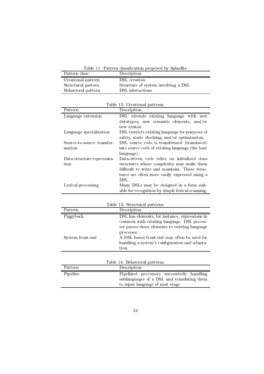Table 11: Pattern classification proposed by Spinellis.

| Pattern class      | Description                         |
|--------------------|-------------------------------------|
| Creational pattern | DSL creation                        |
| Structural pattern | Structure of system involving a DSL |
| Behavioral pattern | DSL interactions                    |
|                    |                                     |

| Table 12: Creational patterns. |                                                                                                   |
|--------------------------------|---------------------------------------------------------------------------------------------------|
| Pattern                        | Description                                                                                       |
| Language extension             | DSL extends existing language with new<br>datatypes, new semantic elements, and/or<br>new syntax. |
| Language specialization        | DSL restricts existing language for purposes of<br>safety, static checking, and/or optimization.  |
| Source-to-source transfor-     | DSL source code is transformed (translated)                                                       |
| mation                         | into source code of existing language (the base                                                   |
|                                | language).                                                                                        |
| Data structure representa-     | Data-driven code relies on initialized data                                                       |
| tion                           | structures whose complexity may make them                                                         |
|                                | difficult to write and maintain. These struc-                                                     |
|                                | tures are often more easily expressed using a                                                     |
|                                | DSL.                                                                                              |
| Lexical processing             | Many DSLs may be designed in a form suit-                                                         |
|                                | able for recognition by simple lexical scanning.                                                  |

|                               | Table 13: Structural patterns.                                                                                                                                                                                                                                        |
|-------------------------------|-----------------------------------------------------------------------------------------------------------------------------------------------------------------------------------------------------------------------------------------------------------------------|
| Pattern                       | Description                                                                                                                                                                                                                                                           |
| Piggyback<br>System front-end | DSL has elements, for instance, expressions in<br>common with existing language. DSL proces-<br>sor passes those elements to existing language<br>processor.<br>A DSL based front-end may often be used for<br>handling a system's configuration and adapta-<br>tion. |
| Pattern                       | Table 14: Behavioral patterns.<br>Description                                                                                                                                                                                                                         |
| Pipeline                      | successively<br>Pipelined<br>handling<br>processors                                                                                                                                                                                                                   |

| Pattern.         | Description                                |
|------------------|--------------------------------------------|
| ${\rm Pipeline}$ | Pipelined processors successively handling |
|                  | sublanguages of a DSL and translating them |
|                  | to input language of next stage.           |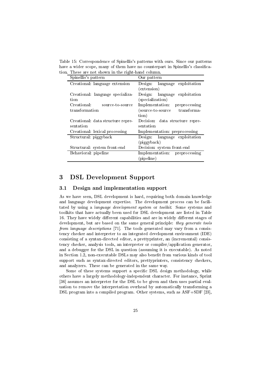Table 15: Correspondence of Spinellis's patterns with ours. Since our patterns have a wider scope, many of them have no counterpart in Spinellis's classification. These are not shown in the right-hand column.

| Spinellis's pattern               | Our pattern                        |
|-----------------------------------|------------------------------------|
| Creational: language extension    | Design: language exploitation      |
|                                   | $(\text{extension})$               |
| Creational: language specializa   | Design:<br>language exploitation   |
| tion                              | $\scriptstyle\rm (specialization)$ |
| Creational:<br>source-to-source   | Implementation:<br>preprocessing   |
| transformation                    | transforma-<br>(source-to-source   |
|                                   | tion)                              |
| Creational: data structure repre- | Decision: data structure repre-    |
| sentation                         | sentation                          |
| Creational: lexical processing    | Implementation: preprocessing      |
| Structural: piggyback             | language exploitation<br>Design:   |
|                                   | (piggyback)                        |
| Structural: system front-end      | Decision: system front-end         |
| Behavioral: pipeline              | Implementation: preprocessing      |
|                                   | (pipeline)                         |

#### 3 **DSL Development Support**

#### $3.1$ Design and implementation support

As we have seen, DSL development is hard, requiring both domain knowledge and language development expertise. The development process can be facilitated by using a language development system or toolkit. Some systems and toolkits that have actually been used for DSL development are listed in Table 16. They have widely different capabilities and are in widely different stages of development, but are based on the same general principle: they generate tools from language descriptions [71]. The tools generated may vary from a consistency checker and interpreter to an integrated development environment (IDE) consisting of a syntax-directed editor, a prettyprinter, an (incremental) consistency checker, analysis tools, an interpreter or compiler/application generator, and a debugger for the DSL in question (assuming it is executable). As noted in Section 1.2, non-executable DSLs may also benefit from various kinds of tool support such as syntax-directed editors, prettyprinters, consistency checkers, and analyzers. These can be generated in the same way.

Some of these systems support a specific DSL design methodology, while others have a largely methodology-independent character. For instance, Sprint [36] assumes an interpreter for the DSL to be given and then uses partial evaluation to remove the interpretation overhead by automatically transforming a DSL program into a compiled program. Other systems, such as ASF+SDF [23],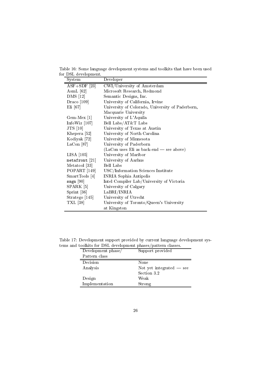Table 16: Some language development systems and toolkits that have been used for DSL development.

| System                  | Developer                                        |
|-------------------------|--------------------------------------------------|
| $ASF+SDF$ [23]          | CWI/University of Amsterdam                      |
| AsmL $[62]$             | Microsoft Research, Redmond                      |
| $DMS$ [12]              | Semantic Designs, Inc.                           |
| Draco $[109]$           | University of California, Irvine                 |
| Eli [67]                | University of Colorado, University of Paderborn, |
|                         | Macquarie University                             |
| $Gem$ Mex $[1]$         | University of L'Aquila                           |
| InfoWiz $[107]$         | Bell Labs/AT&T Labs                              |
| $JTS$ [10]              | University of Texas at Austin                    |
| Khepera [52]            | University of North Carolina                     |
| Kodiyak [72]            | University of Minnesota                          |
| LaCon $[87]$            | University of Paderborn                          |
|                         | (LaCon uses Eli as back-end — see above)         |
| $LISA$ [105]            | University of Maribor                            |
| metafront $[21]$        | University of Aarhus                             |
| Metatool [33]           | <b>Bell Labs</b>                                 |
| POPART <sup>[149]</sup> | USC/Information Sciences Institute               |
| SmartTools [4]          | <b>INRIA</b> Sophia Antipolis                    |
| $smgn$ [90]             | Intel Compiler Lab/University of Victoria        |
| $SPARK$ [5]             | University of Calgary                            |
| Sprint [36]             | LaBRI/INRIA                                      |
| Stratego [145]          | University of Utrecht                            |
| <b>TXL</b> [38]         | University of Toronto/Queen's University         |
|                         | at Kingston                                      |

Table 17: Development support provided by current language development systems and toolkits for DSL development phases/pattern classes.

| Development phase/ | Support provided           |
|--------------------|----------------------------|
| Pattern class      |                            |
| Decision           | None                       |
| Analysis           | Not yet integrated $-$ see |
|                    | Section 3.2                |
| Design             | Weak                       |
| Implementation     | Strong                     |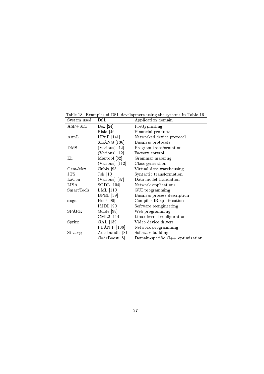| System used | DSL                 | Application domain                 |
|-------------|---------------------|------------------------------------|
| $ASF+SDF$   | Box [24]            | Prettyprinting                     |
|             | Risla $[46]$        | Financial products                 |
| AsmL        | $UPnP$ [141]        | Networked device protocol          |
|             | <b>XLANG</b> [136]  | Business protocols                 |
| DMS         | (Various) $[12]$    | Program transformation             |
|             | (Various) [12]      | Factory control                    |
| Eli         | Maptool [82]        | Grammar mapping                    |
|             | (Various) $[112]$   | Class generation                   |
| Gem-Mex     | Cubix $[95]$        | Virtual data warehousing           |
| JTS         | $Jak$ [10]          | Syntactic transformation           |
| LaCon       | (Various) [87]      | Data model translation             |
| LISA        | <b>SODL</b> [104]   | Network applications               |
| SmartTools  | LML $[110]$         | GUI programming                    |
|             | <b>BPEL</b> [39]    | Business process description       |
| smgn        | Hoof $[90]$         | Compiler IR specification          |
|             | IMDL $[90]$         | Software reengineering             |
| SPARK       | Guide [98]          | Web programming                    |
|             | CML2 [114]          | Linux kernel configuration         |
| Sprint      | GAL [139]           | Video device drivers               |
|             | <b>PLAN-P</b> [138] | Network programming                |
| Stratego    | Autobundle [81]     | Software building                  |
|             | CodeBoost [8]       | Domain-specific $C++$ optimization |

Table 18: Examples of DSL development using the systems in Table 16.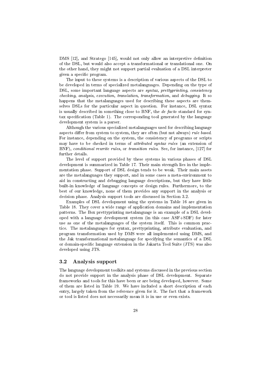DMS [12], and Stratego [145], would not only allow an interpretive definition of the DSL, but would also accept a transformational or translational one. On the other hand, they might not support partial evaluation of a DSL interpreter given a specific program.

The input to these systems is a description of various aspects of the DSL to be developed in terms of specialized metalanguages. Depending on the type of DSL, some important language aspects are *syntax, prettyprinting, consistency checking, analysis, execution, translation, transformation, and debugging.* It so happens that the metalanguages used for describing these aspects are themselves DSLs for the particular aspect in question. For instance, DSL syntax is usually described in something close to BNF, the *de facto* standard for syntax specification (Table 1). The corresponding tool generated by the language development system is a parser.

Although the various specialized metalanguages used for describing language aspects differ from system to system, they are often (but not always) rule based. For instance, depending on the system, the consistency of programs or scripts may have to be checked in terms of *attributed syntax rules* (an extension of BNF), conditional rewrite rules, or transition rules. See, for instance, [127] for further details.

The level of support provided by these systems in various phases of DSL development is summarized in Table 17. Their main strength lies in the implementation phase. Support of DSL design tends to be weak. Their main assets are the metal anguages they support, and in some cases a meta-environment to aid in constructing and debugging language descriptions, but they have little built-in knowledge of language concepts or design rules. Furthermore, to the best of our knowledge, none of them provides any support in the analysis or decision phase. Analysis support tools are discussed in Section 3.2.

Examples of DSL development using the systems in Table 16 are given in Table 18. They cover a wide range of application domains and implementation patterns. The Box prettyprinting metalanguage is an example of a DSL developed with a language development system (in this case ASF+SDF) for later use as one of the metal anguages of the system itself. This is common practice. The metalanguages for syntax, prettyprinting, attribute evaluation, and program transformation used by DMS were all implemented using DMS, and the Jak transformational metalanguage for specifying the semantics of a DSL or domain-specific language extension in the Jakarta Tool Suite (JTS) was also developed using JTS.

#### $3.2$ Analysis support

The language development toolkits and systems discussed in the previous section do not provide support in the analysis phase of DSL development. Separate frameworks and tools for this have been or are being developed, however. Some of them are listed in Table 19. We have included a short description of each entry, largely taken from the reference given for it. The fact that a framework or tool is listed does not necessarily mean it is in use or even exists.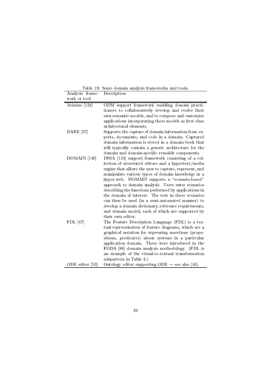| Analysis frame   | Table 19: Some domain analysis frameworks and tools.<br>Description                                |
|------------------|----------------------------------------------------------------------------------------------------|
| work or tool     |                                                                                                    |
| Ariadne [124]    | ODM support framework enabling domain practi-                                                      |
|                  | tioners to collaboratively develop and evolve their                                                |
|                  | own semantic models, and to compose and customize                                                  |
|                  | applications incorporating these models as first-class                                             |
|                  | architectural elements.                                                                            |
| <b>DARE</b> [57] | Supports the capture of domain information from ex-                                                |
|                  | perts, documents, and code in a domain. Captured                                                   |
|                  | domain information is stored in a domain book that                                                 |
|                  | will typically contain a generic architecture for the                                              |
|                  | domain and domain-specific reusable components.                                                    |
| DOMAIN [140]     | DSSA [134] support framework consisting of a col-                                                  |
|                  | lection of structured editors and a hypertext/media                                                |
|                  | engine that allows the user to capture, represent, and                                             |
|                  | manipulate various types of domain knowledge in a                                                  |
|                  | hyper-web. DOMAIN supports a "scenario-based"                                                      |
|                  | approach to domain analysis. Users enter scenarios                                                 |
|                  | describing the functions performed by applications in                                              |
|                  | the domain of interest. The text in these scenarios                                                |
|                  | can then be used (in a semi-automated manner) to                                                   |
|                  | develop a domain dictionary, reference requirements,                                               |
|                  | and domain model, each of which are supported by                                                   |
|                  | their own editor.                                                                                  |
| FDL [47]         | The Feature Description Language (FDL) is a tex-                                                   |
|                  | tual representation of feature diagrams, which are a                                               |
|                  | graphical notation for expressing assertions (propo-                                               |
|                  | sitions, predicates) about systems in a particular                                                 |
|                  | application domain. These were introduced in the<br>FODA [86] domain analysis methodology. (FDL is |
|                  | an example of the visual-to-textual transformation                                                 |
|                  | subpattern in Table 3.)                                                                            |
| ODE editor [53]  | Ontology editor supporting $ODE$ — see also [45].                                                  |

Table 19: Some domain analysis frameworks and tools.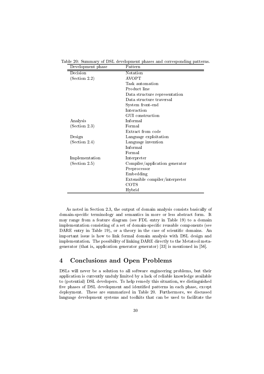| Development phase | Pattern                         |
|-------------------|---------------------------------|
| Decision          | Notation                        |
| (Section 2.2)     | AVOPT                           |
|                   | Task automation                 |
|                   | Product line                    |
|                   | Data structure representation   |
|                   | Data structure traversal        |
|                   | System front-end                |
|                   | Interaction                     |
|                   | GUI construction                |
| Analysis          | Informal                        |
| (Section 2.3)     | Formal                          |
|                   | Extract from code               |
| Design            | Language exploitation           |
| (Section 2.4)     | Language invention              |
|                   | Informal                        |
|                   | Formal                          |
| Implementation    | Interpreter                     |
| (Section 2.5)     | Compiler/application generator  |
|                   | Preprocessor                    |
|                   | Embedding                       |
|                   | Extensible compiler/interpreter |
|                   | <b>COTS</b>                     |
|                   | Hybrid                          |

Table 20: Summary of DSL development phases and corresponding patterns.

As noted in Section 2.3, the output of domain analysis consists basically of domain-specific terminology and semantics in more or less abstract form. It may range from a feature diagram (see FDL entry in Table 19) to a domain implementation consisting of a set of domain-specific reusable components (see DARE entry in Table 19), or a theory in the case of scientific domains. An important issue is how to link formal domain analysis with DSL design and implementation. The possibility of linking DARE directly to the Metatool metagenerator (that is, application generator generator) [33] is mentioned in [56].

#### **Conclusions and Open Problems**  $\overline{\mathbf{4}}$

DSLs will never be a solution to all software engineering problems, but their application is currently unduly limited by a lack of reliable knowledge available to (potential) DSL developers. To help remedy this situation, we distinguished five phases of DSL development and identified patterns in each phase, except deployment. These are summarized in Table 20. Furthermore, we discussed language development systems and toolkits that can be used to facilitate the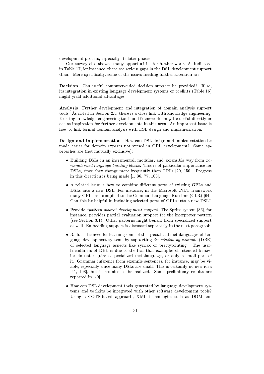development process, especially its later phases.

Our survey also showed many opportunities for further work. As indicated in Table 17, for instance, there are serious gaps in the DSL development support chain. More specifically, some of the issues needing further attention are:

**Decision** Can useful computer-aided decision support be provided? If so, its integration in existing language development systems or toolkits (Table 16) might yield additional advantages.

Analysis Further development and integration of domain analysis support tools. As noted in Section 2.3, there is a close link with knowledge engineering. Existing knowledge engineering tools and frameworks may be useful directly or act as inspiration for further developments in this area. An important issue is how to link formal domain analysis with DSL design and implementation.

**Design and implementation** How can DSL design and implementation be made easier for domain experts not versed in GPL development? Some approaches are (not mutually exclusive):

- Building DSLs in an incremental, modular, and extensible way from  $pa$ rameterized language building blocks. This is of particular importance for DSLs, since they change more frequently than GPLs [20, 150]. Progress in this direction is being made  $[1, 36, 77, 103]$ .
- A related issue is how to combine different parts of existing GPLs and DSLs into a new DSL. For instance, in the Microsoft .NET framework many GPLs are compiled to the Common Language Runtime (CLR) [64]. Can this be helpful in including selected parts of GPLs into a new DSL?
- Provide "pattern aware" development support. The Sprint system [36], for instance, provides partial evaluation support for the interpreter pattern (see Section 3.1). Other patterns might benefit from specialized support as well. Embedding support is discussed separately in the next paragraph.
- Reduce the need for learning some of the specialized metalanguages of language development systems by supporting description by example (DBE) of selected language aspects like syntax or prettyprinting. The userfriendliness of DBE is due to the fact that examples of intended behavior do not require a specialized metalanguage, or only a small part of it. Grammar inference from example sentences, for instance, may be viable, especially since many DSLs are small. This is certainly no new idea [41, 108], but it remains to be realized. Some preliminary results are reported in [40].
- How can DSL development tools generated by language development systems and toolkits be integrated with other software development tools? Using a COTS-based approach, XML technologies such as DOM and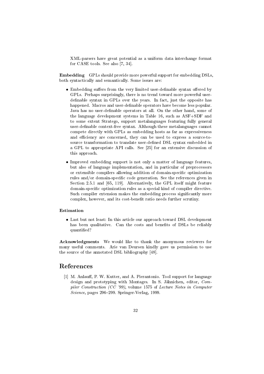XML-parsers have great potential as a uniform data interchange format for CASE tools. See also [7, 34].

**Embedding** GPLs should provide more powerful support for embedding DSLs, both syntactically and semantically. Some issues are:

- Embedding suffers from the very limited user-definable syntax offered by GPLs. Perhaps surprisingly, there is no trend toward more powerful userdefinable syntax in GPLs over the years. In fact, just the opposite has happened. Macros and user-definable operators have become less popular. Java has no user-definable operators at all. On the other hand, some of the language development systems in Table 16, such as ASF+SDF and to some extent Stratego, support metalanguages featuring fully general user-definable context-free syntax. Although these metalanguages cannot compete directly with GPLs as embedding hosts as far as expressiveness and efficiency are concerned, they can be used to express a source-tosource transformation to translate user-defined DSL syntax embedded in a GPL to appropriate API calls. See [25] for an extensive discussion of this approach.
- Improved embedding support is not only a matter of language features, but also of language implementation, and in particular of preprocessors or extensible compilers allowing addition of domain-specific optimization rules and/or domain-specific code generation. See the references given in Section 2.5.1 and [65, 119]. Alternatively, the GPL itself might feature domain-specific optimization rules as a special kind of compiler directive. Such compiler extension makes the embedding process significantly more complex, however, and its cost-benefit ratio needs further scrutiny.

## Estimation

• Last but not least: In this article our approach toward DSL development has been qualitative. Can the costs and benefits of DSLs be reliably quantified?

**Acknowledgments** We would like to thank the anonymous reviewers for many useful comments. Arie van Deursen kindly gave us permission to use the source of the annotated DSL bibliography [48].

## References

[1] M. Anlauff, P. W. Kutter, and A. Pierantonio. Tool support for language design and prototyping with Montages. In S. Jähnichen, editor, Compiler Construction (CC '99), volume 1575 of Lecture Notes in Computer Science, pages 296–299. Springer-Verlag, 1999.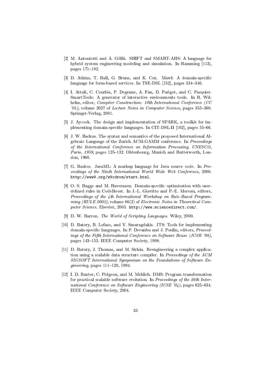- [2] M. Antoniotti and A. Göllü. SHIFT and SMART-AHS: A language for hybrid system engineering modeling and simulation. In Ramming [113], pages 171-182.
- [3] D. Atkins, T. Ball, G. Bruns, and K. Cox. Mawl: A domain-specific language for form-based services. In TSE-DSL [152], pages 334–346.
- [4] I. Attali, C. Courbis, P. Degenne, A. Fau, D. Parigot, and C. Pasquier. SmartTools: A generator of interactive environments tools. In R. Wilhelm, editor, Compiler Construction: 10th International Conference (CC  $(01)$ , volume 2027 of Lecture Notes in Computer Science, pages 355–360. Springer-Verlag, 2001.
- [5] J. Aycock. The design and implementation of SPARK, a toolkit for implementing domain-specific languages. In CIT-DSL-II [102], pages 55–66.
- [6] J. W. Backus. The syntax and semantics of the proposed International Algebraic Language of the Zurich ACM-GAMM conference. In *Proceedings* of the International Conference on Information Processing, UNESCO, Paris, 1959, pages 125-132. Oldenbourg, Munich and Butterworth, London, 1960.
- [7] G. Badros. JavaML: A markup language for Java source code. In  $Pro$ ceedings of the Ninth International World Wide Web Conference, 2000. http://www9.org/w9cdrom/start.html.
- [8] O. S. Bagge and M. Haveraaen. Domain-specific optimisation with userdefined rules in CodeBoost. In J.-L. Giavitto and P.-E. Moreau, editors, Proceedings of the 4th International Workshop on Rule-Based Program- $\min q$  (RULE 2003), volume 86(2) of Electronic Notes in Theoretical Computer Science, Elsevier, 2003. http://www.sciencedirect.com/.
- [9] D. W. Barron. The World of Scripting Languages. Wiley, 2000.
- [10] D. Batory, B. Lofaso, and Y. Smaragdakis. JTS: Tools for implementing domain-specific languages. In P. Devanbu and J. Poulin, editors, Proceedings of the Fifth International Conference on Software Reuse (JCSR '98), pages 143–153. IEEE Computer Society, 1998.
- [11] D. Batory, J. Thomas, and M. Sirkin. Reengineering a complex application using a scalable data structure compiler. In Proceedings of the ACM SIGSOFT International Symposium on the Foundations of Software En*gineering*, pages  $111-120$ , 1994.
- [12] I. D. Baxter, C. Pidgeon, and M. Mehlich. DMS: Program transformation for practical scalable software evolution. In Proceedings of the 26th International Conference on Software Engineering (ICSE '04), pages  $625-634$ . IEEE Computer Society, 2004.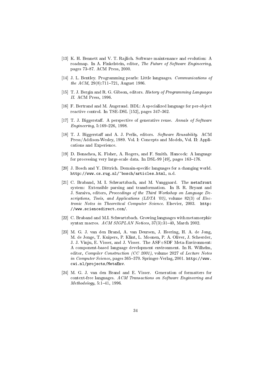- [13] K. H. Bennett and V. T. Railich. Software maintenance and evolution: A roadmap. In A. Finkelstein, editor, The Future of Software Engineering. pages 73–87. ACM Press, 2000.
- [14] J. L. Bentley. Programming pearls: Little languages. Communications of *the ACM*,  $29(8)$ :711–721, August 1986.
- [15] T. J. Bergin and R. G. Gibson, editors. History of Programming Languages II. ACM Press, 1996.
- [16] F. Bertrand and M. Augeraud. BDL: A specialized language for per-object reactive control. In TSE-DSL [152], pages 347-362.
- [17] T. J. Biggerstaff. A perspective of generative reuse. Annals of Software *Engineering*, 5:169-226, 1998.
- [18] T. J. Biggerstaff and A. J. Perlis, editors. Software Reusability. ACM Press/Addison-Wesley, 1989. Vol. I: Concepts and Models, Vol. II: Applications and Experience.
- [19] D. Bonachea, K. Fisher, A. Rogers, and F. Smith. Hancock: A language for processing very large-scale data. In DSL-99  $[49]$ , pages  $163-176$ .
- [20] J. Bosch and Y. Dittrich. Domain-specific languages for a changing world. http://www.cs.rug.nl/~bosch/articles.html, n.d.
- [21] C. Braband, M. I. Schwartzbach, and M. Vanggaard. The metafront system: Extensible parsing and transformation. In B. R. Bryant and J. Saraiva, editors, *Proceedings of the Third Workshop on Language De*scriptions, Tools, and Applications (LDTA '03), volume 82(3) of Electronic Notes in Theoretical Computer Science. Elsevier, 2003. http: //www.sciencedirect.com/.
- [22] C. Braband and M.I. Schwartzbach. Growing languages with metamorphic syntax macros. ACM SIGPLAN Notices, 37(3):31-40, March 2002.
- [23] M. G. J. van den Brand, A. van Deursen, J. Heering, H. A. de Jong. M. de Jonge, T. Kuipers, P. Klint, L. Moonen, P. A. Oliver, J. Scheerder. J. J. Vinju, E. Visser, and J. Visser. The ASF+SDF Meta-Environment: A component-based language development environment. In R. Wilhelm. editor, *Compiler Construction (CC 2001)*, volume 2027 of *Lecture Notes* in Computer Science, pages 365-370. Springer-Verlag, 2001. http://www. cwi.nl/projects/MetaEnv.
- [24] M. G. J. van den Brand and E. Visser. Generation of formatters for context-free languages. ACM Transactions on Software Engineering and Methodology, 5:1-41, 1996.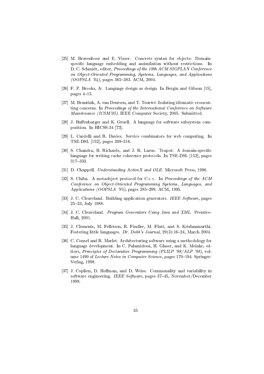- [25] M. Bravenboer and E. Visser. Concrete syntax for objects: Domainspecific language embedding and assimilation without restrictions. In D. C. Schmidt, editor, Proceedings of the 19th ACM SIGPLAN Conference on Object-Oriented Programming, Systems, Languages, and Applications  $(OOPSLA 704)$ , pages 365-383. ACM, 2004.
- [26] F. P. Brooks, Jr. Language design as design. In Bergin and Gibson [15], pages  $4-15$ .
- [27] M. Bruntink, A. van Deursen, and T. Tourwé. Isolating idiomatic crosscutting concerns. In Proceedings of the International Conference on Software *Maintenance (ICSM'05).* IEEE Computer Society, 2005. Submitted.
- [28] J. Buffenbarger and K. Gruell. A language for software subsystem composition. In HICSS-34 [73].
- [29] L. Cardelli and R. Davies. Service combinators for web computing. In TSE-DSL [152], pages 309-316.
- [30] S. Chandra, B. Richards, and J. R. Larus. Teapot: A domain-specific language for writing cache coherence protocols. In TSE-DSL [152], pages  $317 - 333.$
- [31] D. Chappell. Understanding ActiveX and OLE. Microsoft Press, 1996.
- [32] S. Chiba. A metaobject protocol for C++. In Proceedings of the ACM Conference on Object-Oriented Programming Systems, Languages, and Applications (OOPSLA '95), pages  $285-299$ . ACM, 1995.
- [33] J. C. Cleaveland. Building application generators. IEEE Software, pages 25-33, July 1988.
- [34] J. C. Cleaveland. Program Generators Using Java and XML. Prentice-Hall. 2001.
- [35] J. Clements, M. Felleisen, R. Findler, M. Flatt, and S. Krishnamurthi. Fostering little languages. Dr. Dobb's Journal, 29(3):16-24, March 2004.
- [36] C. Consel and R. Marlet. Architecturing software using a methodology for language development. In C. Palamidessi, H. Glaser, and K. Meinke, editors, Principles of Declarative Programming (PLILP '98/ALP '98), volume 1490 of *Lecture Notes in Computer Science*, pages 170–194. Springer-Verlag, 1998.
- [37] J. Coplien, D. Hoffman, and D. Weiss. Commonality and variability in software engineering. IEEE Software, pages 37-45, November/December 1998.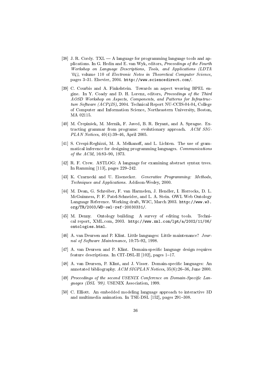- [38] J. R. Cordy. TXL  $-$  A language for programming language tools and applications. In G. Hedin and E. van Wyk, editors, Proceedings of the Fourth Workshop on Language Descriptions, Tools, and Applications (LDTA  $\langle 04 \rangle$ , volume 110 of Electronic Notes in Theoretical Computer Science. pages 3-31. Elsevier, 2004. http://www.sciencedirect.com/.
- [39] C. Courbis and A. Finkelstein. Towards an aspect weaving BPEL engine. In Y. Coady and D. H. Lorenz, editors, Proceedings of the Third AOSD Workshop on Aspects, Components, and Patterns for Infrastructure Software (ACP4IS), 2004. Technical Report NU-CCIS-04-04, College of Computer and Information Science, Northeastern University, Boston, MA 02115.
- [40] M. Crepinšek, M. Mernik, F. Javed, B. R. Bryant, and A. Sprague. Extracting grammar from programs: evolutionary approach. ACM SIG- $PLAN \, Notes, \, 40(4):39-46, \, April \, 2005.$
- [41] S. Crespi-Reghizzi, M. A. Melkanoff, and L. Lichten. The use of grammatical inference for designing programming languages. *Communications* of the ACM, 16:83-90, 1973.
- [42] R. F. Crew. ASTLOG: A language for examining abstract syntax trees. In Ramming  $[113]$ , pages  $229-242$ .
- [43] K. Czarnecki and U. Eisenecker. Generative Programming: Methods, Techniques and Applications. Addison-Wesley, 2000.
- [44] M. Dean, G. Schreiber, F. van Harmelen, J. Hendler, I. Horrocks, D. L. McGuinness, P. F. Patel-Schneider, and L. A. Stein. OWL Web Ontology Language Reference. Working draft, W3C, March 2003. http://www.w3. org/TR/2003/WD-owl-ref-20030331/.
- $[45]$  M. Denny. Ontology building: A survey of editing tools. Technical report, XML.com, 2003. http://www.xml.com/lpt/a/2002/11/06/ ontologies.html.
- [46] A. van Deursen and P. Klint. Little languages: Little maintenance? Journal of Software Maintenance, 10:75-92, 1998.
- [47] A. van Deursen and P. Klint. Domain-specific language design requires feature descriptions. In CIT-DSL-II [102], pages 1-17.
- [48] A. van Deursen, P. Klint, and J. Visser. Domain-specific languages: An annotated bibliography. ACM SIGPLAN Notices, 35(6):26-36, June 2000.
- [49] Proceedings of the second USENIX Conference on Domain-Specific Languages (DSL '99). USENIX Association, 1999.
- [50] C. Elliott. An embedded modeling language approach to interactive 3D and multimedia animation. In TSE-DSL [152], pages 291-308.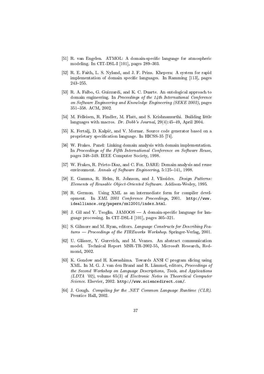- [51] R. van Engelen. ATMOL: A domain-specific language for atmospheric modeling. In CIT-DSL-I [101], pages 289-303.
- [52] R. E. Faith, L. S. Nyland, and J. F. Prins. Khepera: A system for rapid implementation of domain specific languages. In Ramming [113], pages  $243 - 255.$
- [53] R. A. Falbo, G. Guizzardi, and K. C. Duarte. An ontological approach to domain engineering. In Proceedings of the 14th International Conference on Software Engineering and Knowledge Engineering (SEKE 2002), pages  $351-358.$  ACM, 2002.
- [54] M. Felleisen, R. Findler, M. Flatt, and S. Krishnamurthi. Building little languages with macros. Dr. Dobb's Journal,  $29(4)$ : 45–49, April 2004.
- [55] K. Fertalj, D. Kalpič, and V. Mornar. Source code generator based on a proprietary specification language. In HICSS 35 [74].
- [56] W. Frakes. Panel: Linking domain analysis with domain implementation. In Proceedings of the Fifth International Conference on Software Reuse. pages 348-349. IEEE Computer Society, 1998.
- [57] W. Frakes, R. Prieto-Diaz, and C. Fox. DARE: Domain analysis and reuse environment. Annals of Software Engineering, 5:125-141, 1998.
- [58] E. Gamma, R. Helm, R. Johnson, and J. Vlissides. Design Patterns: Elements of Reusable Object-Oriented Software. Addison-Wesley, 1995.
- [59] R. Germon. Using XML as an intermediate form for compiler development. In XML 2001 Conference Proceedings, 2001. http://www. idealliance.org/papers/xml2001/index.html.
- [60] J. Gil and Y. Tsoglin. JAMOOS A domain-specific language for language processing. In CIT-DSL-I [101], pages 305-321.
- [61] S. Gilmore and M. Ryan, editors. Language Constructs for Describing Fea $tures - Proceedings of the FIREworks Workshop$ . Springer-Verlag, 2001.
- [62] U. Glässer, Y. Gurevich, and M. Veanes. An abstract communication model. Technical Report MSR-TR-2002-55, Microsoft Research, Redmond. 2002.
- [63] K. Gondow and H. Kawashima. Towards ANSI C program slicing using XML. In M. G. J. van den Brand and R. Lämmel, editors, Proceedings of the Second Workshop on Language Descriptions, Tools, and Applications (LDTA '02), volume 65(3) of Electronic Notes in Theoretical Computer Science. Elsevier, 2002. http://www.sciencedirect.com/.
- [64] J. Gough. Compiling for the .NET Common Language Runtime  $(CLR)$ . Prentice Hall, 2002.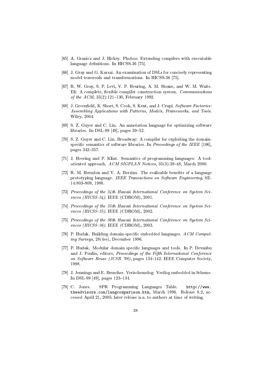- [65] A. Granicz and J. Hickey. Phobos: Extending compilers with executable language definitions. In HICSS-36 [75].
- [66] J. Gray and G. Karsai. An examination of DSLs for concisely representing model traversals and transformations. In HICSS-36 [75].
- [67] R. W. Gray, S. P. Levi, V. P. Heuring, A. M. Sloane, and W. M. Waite. Eli: A complete, flexible compiler construction system. Communications of the ACM,  $35(2):121-130$ , February 1992.
- [68] J. Greenfield, K. Short, S. Cook, S. Kent, and J. Crupi. Software Factories: Assembling Applications with Patterns, Models, Frameworks, and Tools. Wiley, 2004.
- [69] S. Z. Guyer and C. Lin. An annotation language for optimizing software libraries. In DSL-99 [49], pages 39-52.
- [70] S. Z. Guyer and C. Lin. Broadway: A compiler for exploiting the domainspecific semantics of software libraries. In *Proceedings of the IEEE* [106]. pages 342-357.
- [71] J. Heering and P. Klint. Semantics of programming languages: A tooloriented approach. ACM SIGPLAN Notices, 35(3):39-48, March 2000.
- [72] R. M. Herndon and V. A. Berzins. The realizable benefits of a language prototyping language. IEEE Transactions on Software Engineering, SE-14:803-809, 1988.
- [73] Proceedings of the 34th Hawaii International Conference on System Sciences ( $HICSS-34$ ). IEEE (CDROM), 2001.
- [74] Proceedings of the 35th Hawaii International Conference on System Sciences ( $HICSS-35$ ). IEEE (CDROM), 2002.
- [75] Proceedings of the 36th Hawaii International Conference on System Sciences ( $HICSS-36$ ). IEEE (CDROM), 2003.
- [76] P. Hudak. Building domain-specific embedded languages. ACM Computing Surveys, 28(4es), December 1996.
- [77] P. Hudak. Modular domain specific languages and tools. In P. Devanbu and J. Poulin, editors, Proceedings of the Fifth International Conference on Software Reuse (JCSR '98), pages 134–142. IEEE Computer Society, 1998.
- [78] J. Jennings and E. Beuscher. Verischemelog: Verilog embedded in Scheme. In DSL-99 [49], pages  $123-134$ .
- SPR Programming Languages Table.  $[79]$  C. Jones. http://www. theadvisors.com/langcomparison.htm, March 1996. Release 8.2, accessed April 21, 2005; later release n.a. to authors at time of writing.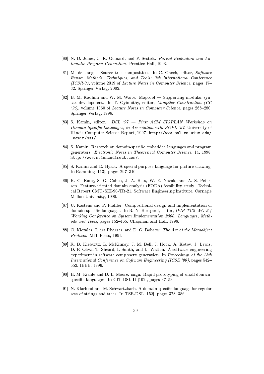- [80] N. D. Jones, C. K. Gomard, and P. Sestoft. Partial Evaluation and Automatic Program Generation. Prentice Hall, 1993.
- [81] M. de Jonge. Source tree composition. In C. Gacek, editor, Software Reuse: Methods, Techniques, and Tools: 7th International Conference  $(ICSR-7)$ , volume 2319 of Lecture Notes in Computer Science, pages 17– 32. Springer-Verlag, 2002.
- [82] B. M. Kadhim and W. M. Waite. Maptool Supporting modular syntax development. In T. Gyimóthy, editor, Compiler Construction (CC  $'96$ , volume 1060 of *Lecture Notes in Computer Science*, pages  $268-280$ . Springer-Verlag, 1996.
- [83] S. Kamin, editor. DSL '97 First ACM SIGPLAN Workshop on Domain-Specific Languages, in Association with POPL '97. University of Illinois Computer Science Report, 1997. http://www-sal.cs.uiuc.edu/  $\tilde{\text{K}}$ amin/dsl/.
- [84] S. Kamin. Research on domain-specific embedded languages and program generators. Electronic Notes in Theoretical Computer Science, 14, 1998. http://www.sciencedirect.com/.
- [85] S. Kamin and D. Hyatt. A special-purpose language for picture-drawing In Ramming [113], pages 297-310.
- [86] K. C. Kang, S. G. Cohen, J. A. Hess, W. E. Novak, and A. S. Peterson. Feature-oriented domain analysis (FODA) feasibility study. Technical Report CMU/SEI-90-TR-21, Software Engineering Institute, Carnegie Mellon University, 1990.
- [87] U. Kastens and P. Pfahler. Compositional design and implementation of domain-specific languages. In R. N. Horspool, editor, IFIP  $TC2$  WG 2.4 Working Conference on System Implementation 2000: Languages, Methods and Tools, pages 152-165. Chapman and Hall, 1998.
- [88] G. Kiczales, J. des Rivieres, and D. G. Bobrow. The Art of the Metaobject Protocol. MIT Press, 1991.
- [89] R. B. Kieburtz, L. McKinney, J. M. Bell, J. Hook, A. Kotov, J. Lewis, D. P. Oliva, T. Sheard, I. Smith, and L. Walton. A software engineering experiment in software component generation. In Proceedings of the 18th International Conference on Software Engineering (ICSE '96), pages 542– 552. IEEE, 1996.
- [90] H. M. Kienle and D. L. Moore. smgn: Rapid prototyping of small domainspecific languages. In CIT-DSL-II [102], pages 37-53.
- [91] N. Klarlund and M. Schwartzbach. A domain-specific language for regular sets of strings and trees. In TSE-DSL [152], pages 378–386.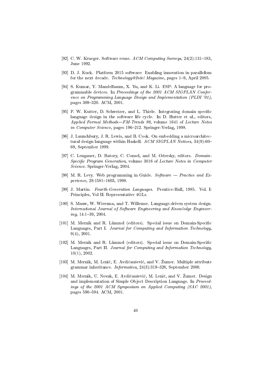- [92] C. W. Krueger. Software reuse. ACM Computing Surveys,  $24(2):131-183$ , June 1992.
- [93] D. J. Kuck. Platform 2015 software: Enabling innovation in parallelism for the next decade. Technology@Intel Magazine, pages  $1-9$ , April 2005.
- [94] S. Kumar, Y. Mandelbaum, X. Yu, and K. Li. ESP: A language for programmable devices. In Proceedings of the 2001 ACM SIGPLAN Conference on Programming Language Design and Implementation (PLDI '01), pages 309-320. ACM, 2001.
- [95] P. W. Kutter, D. Schweizer, and L. Thiele. Integrating domain specific language design in the software life cycle. In D. Hutter et al., editors, Applied Formal Methods-FM-Trends 98, volume 1641 of Lecture Notes in Computer Science, pages 196-212. Springer-Verlag, 1998.
- [96] J. Launchbury, J. R. Lewis, and B. Cook. On embedding a microarchitectural design language within Haskell. ACM SIGPLAN Notices, 34(9):60-69, September 1999.
- [97] C. Lengauer, D. Batory, C. Consel, and M. Odersky, editors. *Domain-*Specific Program Generation, volume 3016 of Lecture Notes in Computer *Science*. Springer-Verlag, 2004.
- [98] M. R. Levy. Web programming in Guide. Software Practice and Experience, 28:1581-1603, 1998.
- [99] J. Martin. Fourth-Generation Languages. Prentice-Hall, 1985. Vol. I: Principles, Vol II: Representative 4GLs.
- [100] S. Mauw, W. Wiersma, and T. Willemse. Language-driven system design. International Journal of Software Engineering and Knowledge Engineer $ing, 14:1-39, 2004.$
- [101] M. Mernik and R. Lämmel (editors). Special issue on Domain-Specific Languages, Part I. Journal for Computing and Information Technology,  $9(4)$ , 2001.
- [102] M. Mernik and R. Lämmel (editors). Special issue on Domain-Specific Languages, Part II. Journal for Computing and Information Technology,  $10(1), 2002.$
- [103] M. Mernik, M. Lenič, E. Avdičaušević, and V. Žumer. Multiple attribute grammar inheritance. Informatica, 24(3):319-328, September 2000.
- [104] M. Mernik, U. Novak, E. Avdičaušević, M. Lenič, and V. Zumer. Design and implementation of Simple Object Description Language. In Proceedings of the 2001 ACM Symposium on Applied Computing (SAC 2001), pages 590-594. ACM, 2001.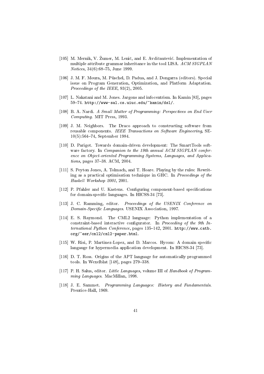- [105] M. Mernik, V. Žumer, M. Lenič, and E. Avdičaušević. Implementation of multiple attribute grammar inheritance in the tool LISA. ACM SIGPLAN *Notices*, 34(6):68-75, June 1999.
- [106] J. M. F. Moura, M. Püschel, D. Padua, and J. Dongarra (editors). Special issue on Program Generation, Optimization, and Platform Adaptation. Proceedings of the IEEE,  $93(2)$ ,  $2005$ .
- [107] L. Nakatani and M. Jones. Jargons and infocentrism. In Kamin [83], pages 59-74. http://www-sal.cs.uiuc.edu/"kamin/dsl/.
- [108] B. A. Nardi. A Small Matter of Programming: Perspectives on End User Computing. MIT Press, 1993.
- [109] J. M. Neighbors. The Draco approach to constructing software from reusable components. IEEE Transactions on Software Engineering, SE- $10(5):564-74$ , September 1984.
- [110] D. Parigot. Towards domain-driven development: The SmartTools software factory. In Companion to the 19th annual ACM SIGPLAN conference on Object-oriented Programming Systems, Languages, and Applications, pages 37-38. ACM, 2004.
- [111] S. Peyton Jones, A. Tolmach, and T. Hoare. Playing by the rules: Rewriting as a practical optimisation technique in GHC. In Proceedings of the Haskell Workshop 2001, 2001.
- [112] P. Pfahler and U. Kastens. Configuring component-based specifications for domain-specific languages. In HICSS-34 [73].
- [113] J. C. Ramming, editor. Proceedings of the USENIX Conference on *Domain-Specific Languages.* USENIX Association, 1997.
- $[114]$  E. S. Raymond. The CML2 language: Python implementation of a constraint-based interactive configurator. In Proceeding of the 9th International Python Conference, pages 135-142, 2001. http://www.catb. org/"esr/cml2/cml2-paper.html.
- [115] W. Risi, P. Martinez-Lopez, and D. Marcos. Hycom: A domain specific langauge for hypermedia application development. In HICSS-34 [73].
- [116] D. T. Ross. Origins of the APT language for automatically programmed tools. In Wexelblat  $[148]$ , pages  $279-338$ .
- [117] P. H. Salus, editor. Little Languages, volume III of Handbook of Programming Languages. MacMillan, 1998.
- [118] J. E. Sammet. Programming Languages: History and Fundamentals. Prentice Hall, 1969.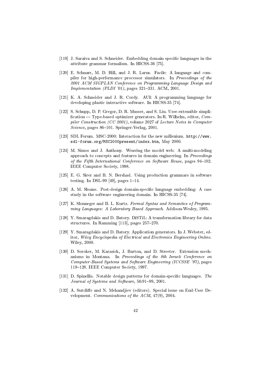- [119] J. Saraiva and S. Schneider. Embedding domain specific languages in the attribute grammar formalism. In HICSS-36 [75].
- [120] E. Schnarr, M. D. Hill, and J. R. Larus. Facile: A language and compiler for high-performance processor simulators. In Proceedings of the 2001 ACM SIGPLAN Conference on Programming Language Design and *Implementation (PLDI '01)*, pages  $321-331$ . ACM,  $2001$ .
- [121] K. A. Schneider and J. R. Cordy. AUI: A programming language for developing plastic interactive software. In HICSS-35 [74].
- [122] S. Schupp, D. P. Gregor, D. R. Musser, and S. Liu. User-extensible simplification — Type-based optimizer generators. In R. Wilhelm, editor,  $Com$ piler Construction (CC 2001), volume 2027 of Lecture Notes in Computer Science, pages 86-101. Springer-Verlag, 2001.
- [123] SDL Forum. MSC-2000: Interaction for the new millenium.  $http://www.$ sdl-forum.org/MSC2000present/index.htm, May 2000.
- [124] M. Simos and J. Anthony. Weaving the model web: A multi-modeling approach to concepts and features in domain engineering. In Proceedings of the Fifth International Conference on Software Reuse, pages 94–102. IEEE Computer Society, 1998.
- [125] E. G. Sirer and B. N. Bershad. Using production grammars in software testing. In DSL-99 [49], pages  $1-14$ .
- $[126]$  A. M. Sloane. Post-design domain-specific language embedding: A case study in the software engineering domain. In HICSS-35 [74].
- [127] K. Slonneger and B. L. Kurtz. Formal Syntax and Semantics of Programming Languages: A Laboratory Based Approach. Addison-Wesley, 1995.
- [128] Y. Smaragdakis and D. Batory. DiSTiL: A transformation library for data structures. In Ramming  $[113]$ , pages  $257-270$ .
- [129] Y. Smaragdakis and D. Batory. Application generators. In J. Webster, editor, Wiley Encyclopedia of Electrical and Electronics Engineering Online. Wiley, 2000.
- [130] D. Soroker, M. Karasick, J. Barton, and D. Streeter. Extension mechanisms in Montana. In Proceedings of the 8th Israeli Conference on Computer-Based Systems and Software Engineering (ICCSSE '97), pages 119-128. IEEE Computer Society, 1997.
- [131] D. Spinellis. Notable design patterns for domain-specific languages. The Journal of Systems and Software, 56:91-99, 2001.
- [132] A. Sutcliffe and N. Mehandiiev (editors). Special issue on End-User Development. Communications of the ACM,  $47(9)$ ,  $2004$ .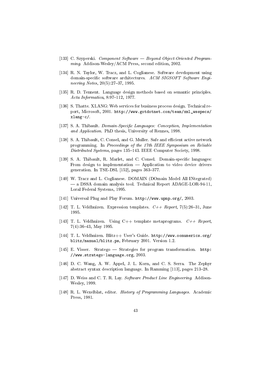- [133] C. Szyperski. Component Software Beyond Object-Oriented Programming. Addison-Wesley/ACM Press, second edition, 2002.
- [134] R. N. Taylor, W. Tracz, and L. Coglianese. Software development using domain-specific software architectures. ACM SIGSOFT Software Engi*neering Notes*,  $20(5):27-37$ , 1995.
- [135] R. D. Tennent. Language design methods based on semantic principles.  $Acta\ Information$ , 8:97-112, 1977.
- $[136]$  S. Thatte. XLANG: Web services for business process design. Technical report, Microsoft, 2001. http://www.gotdotnet.com/team/xml\_wsspecs/  $x$ lang-c/.
- [137] S. A. Thibault. *Domain-Specific Languages: Conception, Implementation* and Application. PhD thesis, University of Rennes, 1998.
- [138] S. A. Thibault, C. Consel, and G. Muller. Safe and efficient active network programming. In Proceedings of the 17th IEEE Symposium on Reliable Distributed Systems, pages 135–143. IEEE Computer Society, 1998.
- [139] S. A. Thibault, R. Marlet, and C. Consel. Domain-specific languages: From design to implementation  $-$  Application to video device drivers generation. In TSE-DSL [152], pages 363-377.
- [140] W. Tracz and L. Coglianese. DOMAIN (DOmain Model All INtegrated) - a DSSA domain analysis tool. Technical Report ADAGE-LOR-94-11 Loral Federal Systems, 1995.
- [141] Universal Plug and Play Forum. http://www.upnp.org/, 2003.
- [142] T. L. Veldhuizen. Expression templates.  $C++$  Report. 7(5):26-31. June 1995.
- [143] T. L. Veldhuizen. Using C++ template metaprograms.  $C++$  Report,  $7(4):36-43$ , May 1995.
- [144] T. L. Veldhuizen. Blitz++ User's Guide. http://www.oonumerics.org/ blitz/manual/blitz.ps, February 2001. Version 1.2.
- [145] E. Visser. Stratego Strategies for program transformation. http: //www.stratego-language.org, 2003.
- $[146]$  D. C. Wang, A. W. Appel, J. L. Korn, and C. S. Serra. The Zephyr abstract syntax description language. In Ramming [113], pages 213–28.
- [147] D. Weiss and C. T. R. Lay. Software Product Line Engineering. Addison-Wesley, 1999.
- [148] R. L. Wexelblat, editor. History of Programming Languages. Academic Press, 1981.